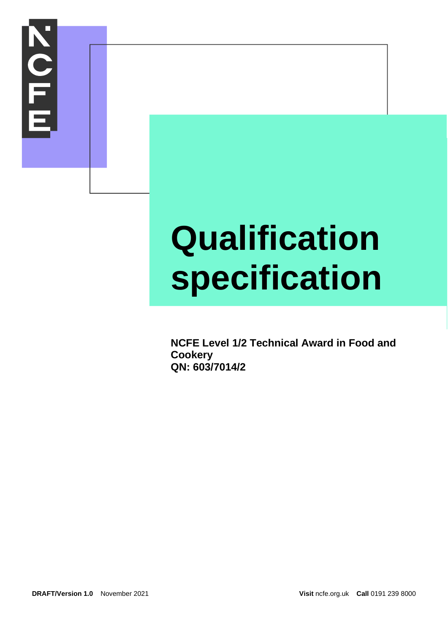

# **Qualification specification**

**NCFE Level 1/2 Technical Award in Food and Cookery QN: 603/7014/2**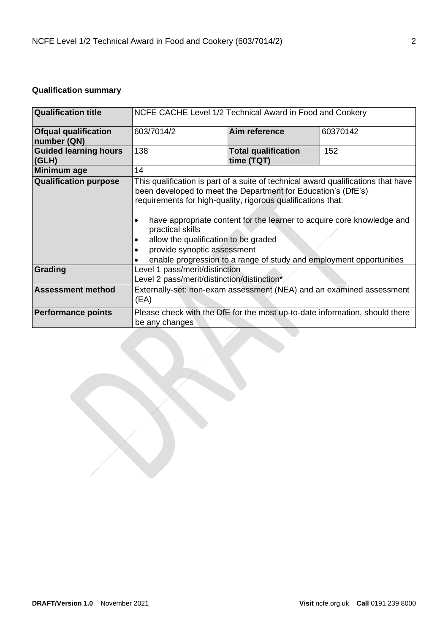# **Qualification summary**

| <b>Qualification title</b>                 | NCFE CACHE Level 1/2 Technical Award in Food and Cookery                                      |                                                                                                                                                                                                                                                                                                                                                                                                                                            |     |  |
|--------------------------------------------|-----------------------------------------------------------------------------------------------|--------------------------------------------------------------------------------------------------------------------------------------------------------------------------------------------------------------------------------------------------------------------------------------------------------------------------------------------------------------------------------------------------------------------------------------------|-----|--|
| <b>Ofqual qualification</b><br>number (QN) | Aim reference<br>603/7014/2<br>60370142                                                       |                                                                                                                                                                                                                                                                                                                                                                                                                                            |     |  |
| <b>Guided learning hours</b><br>(GLH)      | 138                                                                                           | <b>Total qualification</b><br>time (TQT)                                                                                                                                                                                                                                                                                                                                                                                                   | 152 |  |
| Minimum age                                | 14                                                                                            |                                                                                                                                                                                                                                                                                                                                                                                                                                            |     |  |
| <b>Qualification purpose</b>               | practical skills                                                                              | This qualification is part of a suite of technical award qualifications that have<br>been developed to meet the Department for Education's (DfE's)<br>requirements for high-quality, rigorous qualifications that:<br>have appropriate content for the learner to acquire core knowledge and<br>allow the qualification to be graded<br>provide synoptic assessment<br>enable progression to a range of study and employment opportunities |     |  |
| Grading                                    | Level 1 pass/merit/distinction<br>Level 2 pass/merit/distinction/distinction*                 |                                                                                                                                                                                                                                                                                                                                                                                                                                            |     |  |
| <b>Assessment method</b>                   | Externally-set: non-exam assessment (NEA) and an examined assessment<br>(EA)                  |                                                                                                                                                                                                                                                                                                                                                                                                                                            |     |  |
| <b>Performance points</b>                  | Please check with the DfE for the most up-to-date information, should there<br>be any changes |                                                                                                                                                                                                                                                                                                                                                                                                                                            |     |  |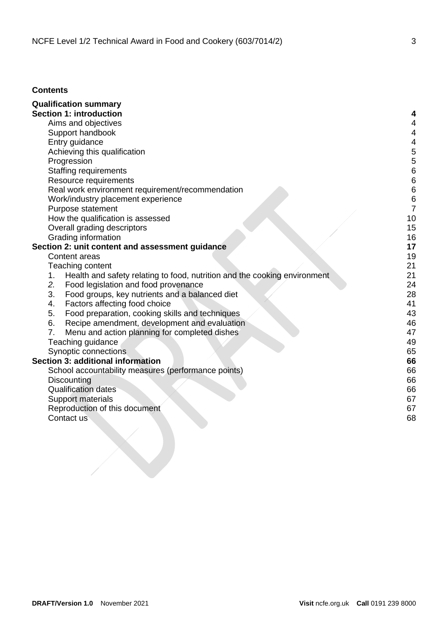## **Contents**

| <b>Qualification summary</b>                                                    |    |
|---------------------------------------------------------------------------------|----|
| <b>Section 1: introduction</b>                                                  |    |
| Aims and objectives                                                             | 4  |
| Support handbook                                                                | 4  |
| Entry guidance                                                                  | 4  |
| Achieving this qualification                                                    | 5  |
| Progression                                                                     | 5  |
| <b>Staffing requirements</b>                                                    | 6  |
| Resource requirements                                                           | 6  |
| Real work environment requirement/recommendation                                | 6  |
| Work/industry placement experience                                              | 6  |
| Purpose statement                                                               | 7  |
| How the qualification is assessed                                               | 10 |
| Overall grading descriptors                                                     | 15 |
| Grading information                                                             | 16 |
| Section 2: unit content and assessment guidance                                 | 17 |
| Content areas                                                                   | 19 |
| Teaching content                                                                | 21 |
| Health and safety relating to food, nutrition and the cooking environment<br>1. | 21 |
| 2.<br>Food legislation and food provenance                                      | 24 |
| 3.<br>Food groups, key nutrients and a balanced diet                            | 28 |
| Factors affecting food choice<br>4.                                             | 41 |
| Food preparation, cooking skills and techniques<br>5.                           | 43 |
| 6.<br>Recipe amendment, development and evaluation                              | 46 |
| 7.<br>Menu and action planning for completed dishes                             | 47 |
| Teaching guidance                                                               | 49 |
| Synoptic connections                                                            | 65 |
| <b>Section 3: additional information</b>                                        | 66 |
| School accountability measures (performance points)                             | 66 |
| Discounting                                                                     | 66 |
| <b>Qualification dates</b>                                                      | 66 |
| Support materials                                                               | 67 |
| Reproduction of this document                                                   | 67 |
| Contact us                                                                      | 68 |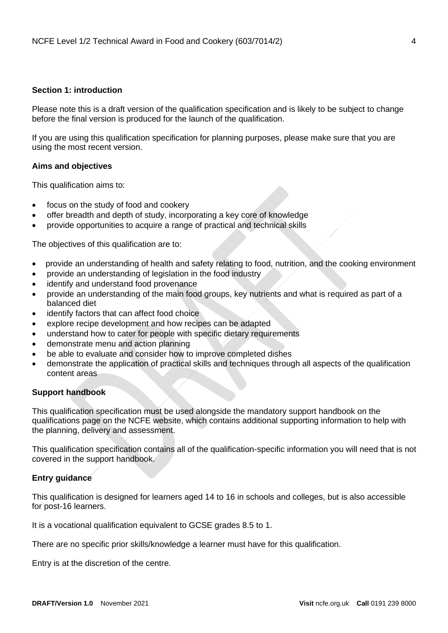## <span id="page-3-0"></span>**Section 1: introduction**

Please note this is a draft version of the qualification specification and is likely to be subject to change before the final version is produced for the launch of the qualification.

If you are using this qualification specification for planning purposes, please make sure that you are using the most recent version.

## <span id="page-3-1"></span>**Aims and objectives**

This qualification aims to:

- focus on the study of food and cookery
- offer breadth and depth of study, incorporating a key core of knowledge
- provide opportunities to acquire a range of practical and technical skills

The objectives of this qualification are to:

- provide an understanding of health and safety relating to food, nutrition, and the cooking environment
- provide an understanding of legislation in the food industry
- identify and understand food provenance
- provide an understanding of the main food groups, key nutrients and what is required as part of a balanced diet
- identify factors that can affect food choice
- explore recipe development and how recipes can be adapted
- understand how to cater for people with specific dietary requirements
- demonstrate menu and action planning
- be able to evaluate and consider how to improve completed dishes
- demonstrate the application of practical skills and techniques through all aspects of the qualification content areas

#### <span id="page-3-2"></span>**Support handbook**

This qualification specification must be used alongside the mandatory support handbook on the qualifications page on the NCFE website, which contains additional supporting information to help with the planning, delivery and assessment.

This qualification specification contains all of the qualification-specific information you will need that is not covered in the support handbook.

## <span id="page-3-3"></span>**Entry guidance**

This qualification is designed for learners aged 14 to 16 in schools and colleges, but is also accessible for post-16 learners.

It is a vocational qualification equivalent to GCSE grades 8.5 to 1.

There are no specific prior skills/knowledge a learner must have for this qualification.

Entry is at the discretion of the centre.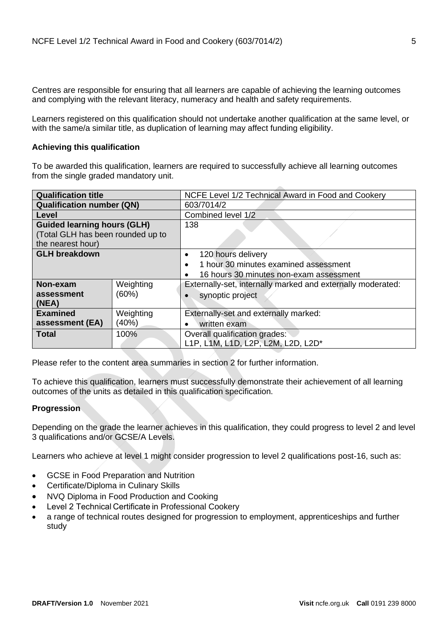Centres are responsible for ensuring that all learners are capable of achieving the learning outcomes and complying with the relevant literacy, numeracy and health and safety requirements.

Learners registered on this qualification should not undertake another qualification at the same level, or with the same/a similar title, as duplication of learning may affect funding eligibility.

## <span id="page-4-0"></span>**Achieving this qualification**

To be awarded this qualification, learners are required to successfully achieve all learning outcomes from the single graded mandatory unit.

| <b>Qualification title</b>         |                                                                          | NCFE Level 1/2 Technical Award in Food and Cookery   |
|------------------------------------|--------------------------------------------------------------------------|------------------------------------------------------|
| <b>Qualification number (QN)</b>   |                                                                          | 603/7014/2                                           |
| Level                              |                                                                          | Combined level 1/2                                   |
| <b>Guided learning hours (GLH)</b> |                                                                          | 138                                                  |
| (Total GLH has been rounded up to  |                                                                          |                                                      |
| the nearest hour)                  |                                                                          |                                                      |
| <b>GLH breakdown</b>               |                                                                          | 120 hours delivery                                   |
|                                    |                                                                          | 1 hour 30 minutes examined assessment<br>$\bullet$   |
|                                    |                                                                          | 16 hours 30 minutes non-exam assessment<br>$\bullet$ |
| Non-exam                           | Weighting<br>Externally-set, internally marked and externally moderated: |                                                      |
| (60%)<br>assessment                |                                                                          | synoptic project                                     |
| (NEA)                              |                                                                          |                                                      |
| <b>Examined</b>                    | Weighting                                                                | Externally-set and externally marked:                |
| (40%)<br>assessment (EA)           |                                                                          | written exam                                         |
| <b>Total</b><br>100%               |                                                                          | Overall qualification grades:                        |
|                                    |                                                                          | L1P, L1M, L1D, L2P, L2M, L2D, L2D*                   |

Please refer to the content area summaries in section 2 for further information.

To achieve this qualification, learners must successfully demonstrate their achievement of all learning outcomes of the units as detailed in this qualification specification.

## <span id="page-4-1"></span>**Progression**

Depending on the grade the learner achieves in this qualification, they could progress to level 2 and level 3 qualifications and/or GCSE/A Levels.

Learners who achieve at level 1 might consider progression to level 2 qualifications post-16, such as:

- GCSE in Food Preparation and Nutrition
- Certificate/Diploma in Culinary Skills
- NVQ Diploma in Food Production and Cooking
- Level 2 Technical Certificate in Professional Cookery
- a range of technical routes designed for progression to employment, apprenticeships and further study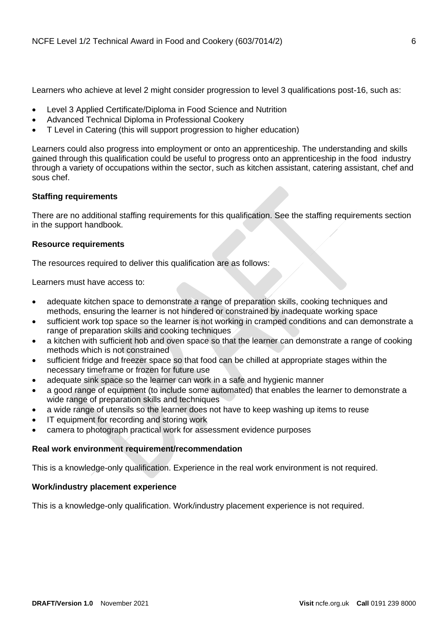Learners who achieve at level 2 might consider progression to level 3 qualifications post-16, such as:

- Level 3 Applied Certificate/Diploma in Food Science and Nutrition
- Advanced Technical Diploma in Professional Cookery
- T Level in Catering (this will support progression to higher education)

Learners could also progress into employment or onto an apprenticeship. The understanding and skills gained through this qualification could be useful to progress onto an apprenticeship in the food industry through a variety of occupations within the sector, such as kitchen assistant, catering assistant, chef and sous chef.

## <span id="page-5-0"></span>**Staffing requirements**

There are no additional staffing requirements for this qualification. See the staffing requirements section in the support handbook.

## <span id="page-5-1"></span>**Resource requirements**

The resources required to deliver this qualification are as follows:

Learners must have access to:

- adequate kitchen space to demonstrate a range of preparation skills, cooking techniques and methods, ensuring the learner is not hindered or constrained by inadequate working space
- sufficient work top space so the learner is not working in cramped conditions and can demonstrate a range of preparation skills and cooking techniques
- a kitchen with sufficient hob and oven space so that the learner can demonstrate a range of cooking methods which is not constrained
- sufficient fridge and freezer space so that food can be chilled at appropriate stages within the necessary timeframe or frozen for future use
- adequate sink space so the learner can work in a safe and hygienic manner
- a good range of equipment (to include some automated) that enables the learner to demonstrate a wide range of preparation skills and techniques
- a wide range of utensils so the learner does not have to keep washing up items to reuse
- IT equipment for recording and storing work
- camera to photograph practical work for assessment evidence purposes

## <span id="page-5-2"></span>**Real work environment requirement/recommendation**

This is a knowledge-only qualification. Experience in the real work environment is not required.

## <span id="page-5-3"></span>**Work/industry placement experience**

This is a knowledge-only qualification. Work/industry placement experience is not required.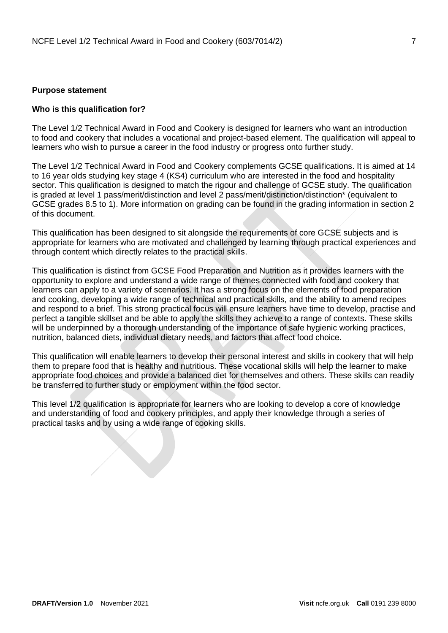#### <span id="page-6-0"></span>**Purpose statement**

#### **Who is this qualification for?**

The Level 1/2 Technical Award in Food and Cookery is designed for learners who want an introduction to food and cookery that includes a vocational and project-based element. The qualification will appeal to learners who wish to pursue a career in the food industry or progress onto further study.

The Level 1/2 Technical Award in Food and Cookery complements GCSE qualifications. It is aimed at 14 to 16 year olds studying key stage 4 (KS4) curriculum who are interested in the food and hospitality sector. This qualification is designed to match the rigour and challenge of GCSE study. The qualification is graded at level 1 pass/merit/distinction and level 2 pass/merit/distinction/distinction\* (equivalent to GCSE grades 8.5 to 1). More information on grading can be found in the grading information in section 2 of this document.

This qualification has been designed to sit alongside the requirements of core GCSE subjects and is appropriate for learners who are motivated and challenged by learning through practical experiences and through content which directly relates to the practical skills.

This qualification is distinct from GCSE Food Preparation and Nutrition as it provides learners with the opportunity to explore and understand a wide range of themes connected with food and cookery that learners can apply to a variety of scenarios. It has a strong focus on the elements of food preparation and cooking, developing a wide range of technical and practical skills, and the ability to amend recipes and respond to a brief. This strong practical focus will ensure learners have time to develop, practise and perfect a tangible skillset and be able to apply the skills they achieve to a range of contexts. These skills will be underpinned by a thorough understanding of the importance of safe hygienic working practices, nutrition, balanced diets, individual dietary needs, and factors that affect food choice.

This qualification will enable learners to develop their personal interest and skills in cookery that will help them to prepare food that is healthy and nutritious. These vocational skills will help the learner to make appropriate food choices and provide a balanced diet for themselves and others. These skills can readily be transferred to further study or employment within the food sector.

This level 1/2 qualification is appropriate for learners who are looking to develop a core of knowledge and understanding of food and cookery principles, and apply their knowledge through a series of practical tasks and by using a wide range of cooking skills.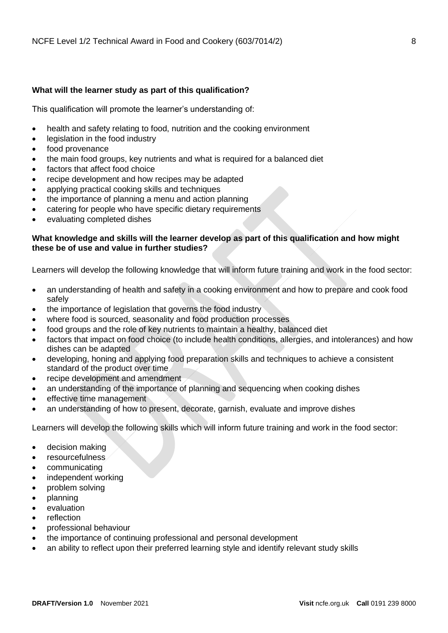## **What will the learner study as part of this qualification?**

This qualification will promote the learner's understanding of:

- health and safety relating to food, nutrition and the cooking environment
- legislation in the food industry
- food provenance
- the main food groups, key nutrients and what is required for a balanced diet
- factors that affect food choice
- recipe development and how recipes may be adapted
- applying practical cooking skills and techniques
- the importance of planning a menu and action planning
- catering for people who have specific dietary requirements
- evaluating completed dishes

## **What knowledge and skills will the learner develop as part of this qualification and how might these be of use and value in further studies?**

Learners will develop the following knowledge that will inform future training and work in the food sector:

- an understanding of health and safety in a cooking environment and how to prepare and cook food safely
- the importance of legislation that governs the food industry
- where food is sourced, seasonality and food production processes
- food groups and the role of key nutrients to maintain a healthy, balanced diet
- factors that impact on food choice (to include health conditions, allergies, and intolerances) and how dishes can be adapted
- developing, honing and applying food preparation skills and techniques to achieve a consistent standard of the product over time
- recipe development and amendment
- an understanding of the importance of planning and sequencing when cooking dishes
- effective time management
- an understanding of how to present, decorate, garnish, evaluate and improve dishes

Learners will develop the following skills which will inform future training and work in the food sector:

- decision making
- **resourcefulness**
- communicating
- independent working
- problem solving
- planning
- evaluation
- reflection
- professional behaviour
- the importance of continuing professional and personal development
- an ability to reflect upon their preferred learning style and identify relevant study skills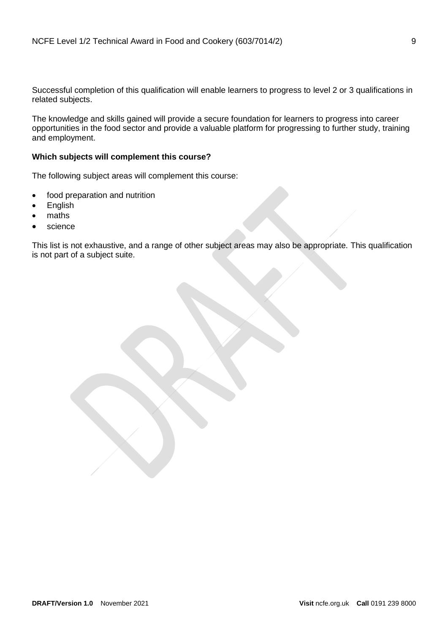Successful completion of this qualification will enable learners to progress to level 2 or 3 qualifications in related subjects.

The knowledge and skills gained will provide a secure foundation for learners to progress into career opportunities in the food sector and provide a valuable platform for progressing to further study, training and employment.

## **Which subjects will complement this course?**

The following subject areas will complement this course:

- food preparation and nutrition
- English
- maths
- science

This list is not exhaustive, and a range of other subject areas may also be appropriate. This qualification is not part of a subject suite.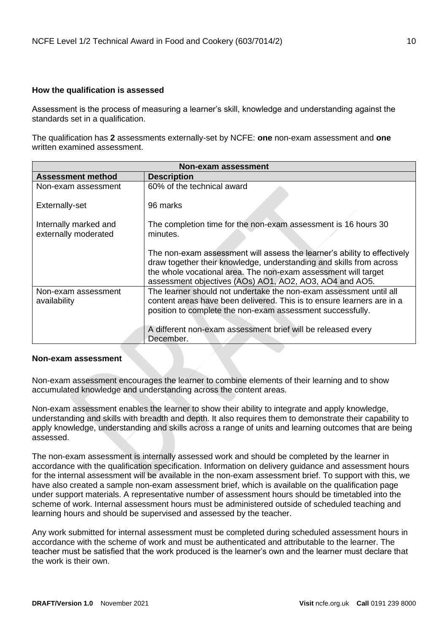## <span id="page-9-0"></span>**How the qualification is assessed**

Assessment is the process of measuring a learner's skill, knowledge and understanding against the standards set in a qualification.

The qualification has **2** assessments externally-set by NCFE: **one** non-exam assessment and **one** written examined assessment.

| <b>Non-exam assessment</b>                    |                                                                                                                                                                                                                                                                              |  |  |  |
|-----------------------------------------------|------------------------------------------------------------------------------------------------------------------------------------------------------------------------------------------------------------------------------------------------------------------------------|--|--|--|
| <b>Assessment method</b>                      | <b>Description</b>                                                                                                                                                                                                                                                           |  |  |  |
| Non-exam assessment                           | 60% of the technical award                                                                                                                                                                                                                                                   |  |  |  |
| Externally-set                                | 96 marks                                                                                                                                                                                                                                                                     |  |  |  |
| Internally marked and<br>externally moderated | The completion time for the non-exam assessment is 16 hours 30<br>minutes.                                                                                                                                                                                                   |  |  |  |
|                                               | The non-exam assessment will assess the learner's ability to effectively<br>draw together their knowledge, understanding and skills from across<br>the whole vocational area. The non-exam assessment will target<br>assessment objectives (AOs) AO1, AO2, AO3, AO4 and AO5. |  |  |  |
| Non-exam assessment<br>availability           | The learner should not undertake the non-exam assessment until all<br>content areas have been delivered. This is to ensure learners are in a<br>position to complete the non-exam assessment successfully.                                                                   |  |  |  |
|                                               | A different non-exam assessment brief will be released every<br>December.                                                                                                                                                                                                    |  |  |  |

## **Non-exam assessment**

Non-exam assessment encourages the learner to combine elements of their learning and to show accumulated knowledge and understanding across the content areas.

Non-exam assessment enables the learner to show their ability to integrate and apply knowledge, understanding and skills with breadth and depth. It also requires them to demonstrate their capability to apply knowledge, understanding and skills across a range of units and learning outcomes that are being assessed.

The non-exam assessment is internally assessed work and should be completed by the learner in accordance with the qualification specification. Information on delivery guidance and assessment hours for the internal assessment will be available in the non-exam assessment brief. To support with this, we have also created a sample non-exam assessment brief, which is available on the qualification page under support materials. A representative number of assessment hours should be timetabled into the scheme of work. Internal assessment hours must be administered outside of scheduled teaching and learning hours and should be supervised and assessed by the teacher.

Any work submitted for internal assessment must be completed during scheduled assessment hours in accordance with the scheme of work and must be authenticated and attributable to the learner. The teacher must be satisfied that the work produced is the learner's own and the learner must declare that the work is their own.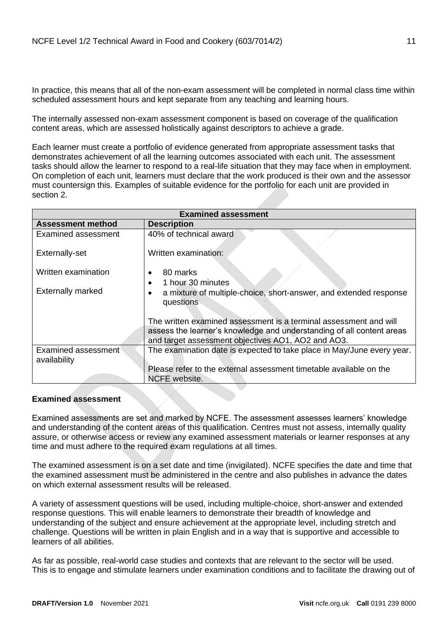In practice, this means that all of the non-exam assessment will be completed in normal class time within scheduled assessment hours and kept separate from any teaching and learning hours.

The internally assessed non-exam assessment component is based on coverage of the qualification content areas, which are assessed holistically against descriptors to achieve a grade.

Each learner must create a portfolio of evidence generated from appropriate assessment tasks that demonstrates achievement of all the learning outcomes associated with each unit. The assessment tasks should allow the learner to respond to a real-life situation that they may face when in employment. On completion of each unit, learners must declare that the work produced is their own and the assessor must countersign this. Examples of suitable evidence for the portfolio for each unit are provided in section 2.

| <b>Examined assessment</b>          |                                                                                                                                                                                                  |  |  |  |
|-------------------------------------|--------------------------------------------------------------------------------------------------------------------------------------------------------------------------------------------------|--|--|--|
| <b>Assessment method</b>            | <b>Description</b>                                                                                                                                                                               |  |  |  |
| Examined assessment                 | 40% of technical award                                                                                                                                                                           |  |  |  |
| Externally-set                      | Written examination:                                                                                                                                                                             |  |  |  |
| Written examination                 | 80 marks                                                                                                                                                                                         |  |  |  |
| <b>Externally marked</b>            | 1 hour 30 minutes<br>a mixture of multiple-choice, short-answer, and extended response<br>questions                                                                                              |  |  |  |
|                                     | The written examined assessment is a terminal assessment and will<br>assess the learner's knowledge and understanding of all content areas<br>and target assessment objectives AO1, AO2 and AO3. |  |  |  |
| Examined assessment<br>availability | The examination date is expected to take place in May/June every year.                                                                                                                           |  |  |  |
|                                     | Please refer to the external assessment timetable available on the<br>NCFE website.                                                                                                              |  |  |  |

## **Examined assessment**

Examined assessments are set and marked by NCFE. The assessment assesses learners' knowledge and understanding of the content areas of this qualification. Centres must not assess, internally quality assure, or otherwise access or review any examined assessment materials or learner responses at any time and must adhere to the required exam regulations at all times.

The examined assessment is on a set date and time (invigilated). NCFE specifies the date and time that the examined assessment must be administered in the centre and also publishes in advance the dates on which external assessment results will be released.

A variety of assessment questions will be used, including multiple-choice, short-answer and extended response questions. This will enable learners to demonstrate their breadth of knowledge and understanding of the subject and ensure achievement at the appropriate level, including stretch and challenge. Questions will be written in plain English and in a way that is supportive and accessible to learners of all abilities.

As far as possible, real-world case studies and contexts that are relevant to the sector will be used. This is to engage and stimulate learners under examination conditions and to facilitate the drawing out of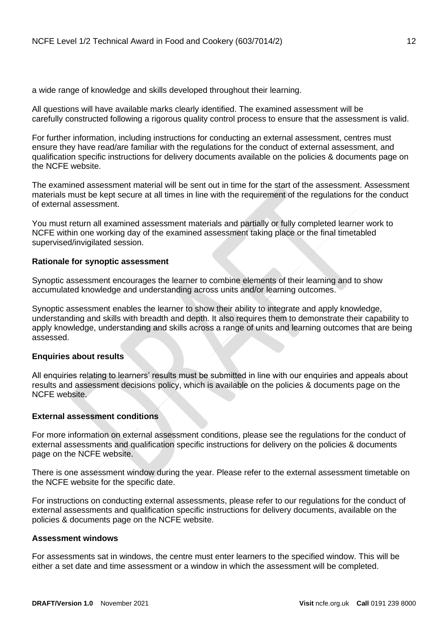a wide range of knowledge and skills developed throughout their learning.

All questions will have available marks clearly identified. The examined assessment will be carefully constructed following a rigorous quality control process to ensure that the assessment is valid.

For further information, including instructions for conducting an external assessment, centres must ensure they have read/are familiar with the regulations for the conduct of external assessment, and qualification specific instructions for delivery documents available on the policies & documents page on the NCFE website.

The examined assessment material will be sent out in time for the start of the assessment. Assessment materials must be kept secure at all times in line with the requirement of the regulations for the conduct of external assessment.

You must return all examined assessment materials and partially or fully completed learner work to NCFE within one working day of the examined assessment taking place or the final timetabled supervised/invigilated session.

## **Rationale for synoptic assessment**

Synoptic assessment encourages the learner to combine elements of their learning and to show accumulated knowledge and understanding across units and/or learning outcomes.

Synoptic assessment enables the learner to show their ability to integrate and apply knowledge, understanding and skills with breadth and depth. It also requires them to demonstrate their capability to apply knowledge, understanding and skills across a range of units and learning outcomes that are being assessed.

## **Enquiries about results**

All enquiries relating to learners' results must be submitted in line with our enquiries and appeals about results and assessment decisions policy, which is available on the policies & documents page on the NCFE website.

## **External assessment conditions**

For more information on external assessment conditions, please see the regulations for the conduct of external assessments and qualification specific instructions for delivery on the policies & documents page on the NCFE website.

There is one assessment window during the year. Please refer to the external assessment timetable on the NCFE website for the specific date.

For instructions on conducting external assessments, please refer to our regulations for the conduct of external assessments and qualification specific instructions for delivery documents, available on the policies & documents page on the NCFE website.

## **Assessment windows**

For assessments sat in windows, the centre must enter learners to the specified window. This will be either a set date and time assessment or a window in which the assessment will be completed.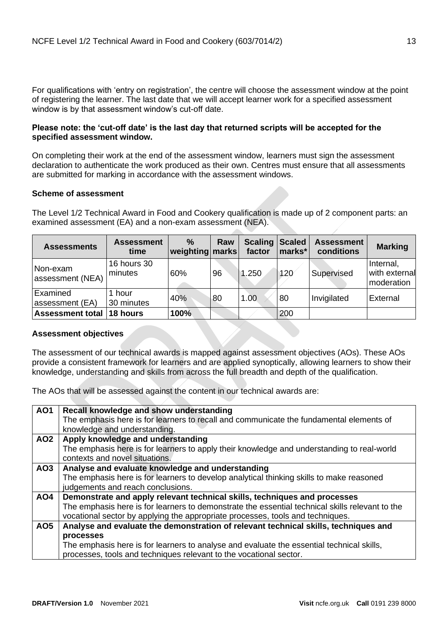For qualifications with 'entry on registration', the centre will choose the assessment window at the point of registering the learner. The last date that we will accept learner work for a specified assessment window is by that assessment window's cut-off date.

## **Please note: the 'cut-off date' is the last day that returned scripts will be accepted for the specified assessment window.**

On completing their work at the end of the assessment window, learners must sign the assessment declaration to authenticate the work produced as their own. Centres must ensure that all assessments are submitted for marking in accordance with the assessment windows.

## **Scheme of assessment**

The Level 1/2 Technical Award in Food and Cookery qualification is made up of 2 component parts: an examined assessment (EA) and a non-exam assessment (NEA).

| <b>Assessments</b>           | <b>Assessment</b><br>time     | $\frac{0}{0}$<br>weighting marks | Raw | <b>Scaling Scaled</b><br>factor | marks* | <b>Assessment</b><br>conditions | <b>Marking</b>                           |
|------------------------------|-------------------------------|----------------------------------|-----|---------------------------------|--------|---------------------------------|------------------------------------------|
| Non-exam<br>assessment (NEA) | <b>16 hours 30</b><br>minutes | 60%                              | 96  | 1.250                           | 120    | Supervised                      | Internal,<br>with external<br>moderation |
| Examined<br>lassessment (EA) | 1 hour<br>30 minutes          | 40%                              | 80  | 1.00                            | 80     | Invigilated                     | External                                 |
| Assessment total 18 hours    |                               | 100%                             |     |                                 | 200    |                                 |                                          |

## **Assessment objectives**

The assessment of our technical awards is mapped against assessment objectives (AOs). These AOs provide a consistent framework for learners and are applied synoptically, allowing learners to show their knowledge, understanding and skills from across the full breadth and depth of the qualification.

The AOs that will be assessed against the content in our technical awards are:

| <b>AO1</b>      | Recall knowledge and show understanding                                                         |
|-----------------|-------------------------------------------------------------------------------------------------|
|                 | The emphasis here is for learners to recall and communicate the fundamental elements of         |
|                 | knowledge and understanding.                                                                    |
| AO <sub>2</sub> | Apply knowledge and understanding                                                               |
|                 | The emphasis here is for learners to apply their knowledge and understanding to real-world      |
|                 | contexts and novel situations.                                                                  |
| AO3             | Analyse and evaluate knowledge and understanding                                                |
|                 | The emphasis here is for learners to develop analytical thinking skills to make reasoned        |
|                 | judgements and reach conclusions.                                                               |
| AO4             | Demonstrate and apply relevant technical skills, techniques and processes                       |
|                 | The emphasis here is for learners to demonstrate the essential technical skills relevant to the |
|                 | vocational sector by applying the appropriate processes, tools and techniques.                  |
| <b>AO5</b>      | Analyse and evaluate the demonstration of relevant technical skills, techniques and             |
|                 | processes                                                                                       |
|                 | The emphasis here is for learners to analyse and evaluate the essential technical skills,       |
|                 | processes, tools and techniques relevant to the vocational sector.                              |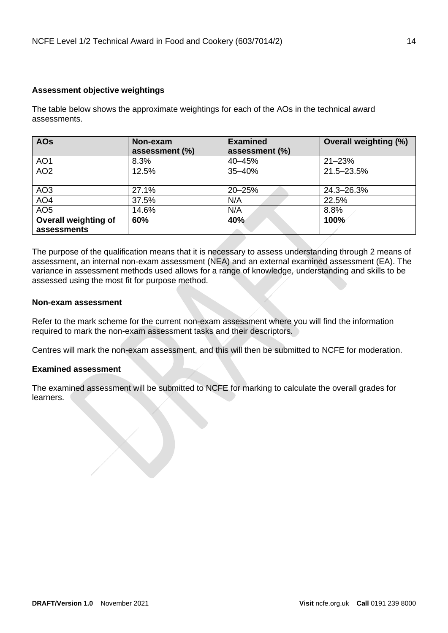## **Assessment objective weightings**

The table below shows the approximate weightings for each of the AOs in the technical award assessments.

| <b>AOs</b>           | Non-exam       | <b>Examined</b> | <b>Overall weighting (%)</b> |
|----------------------|----------------|-----------------|------------------------------|
|                      | assessment (%) | assessment (%)  |                              |
| AO <sub>1</sub>      | 8.3%           | 40-45%          | $21 - 23%$                   |
| AO <sub>2</sub>      | 12.5%          | 35-40%          | 21.5-23.5%                   |
|                      |                |                 |                              |
| AO <sub>3</sub>      | 27.1%          | 20-25%          | 24.3-26.3%                   |
| AO <sub>4</sub>      | 37.5%          | N/A             | 22.5%                        |
| AO <sub>5</sub>      | 14.6%          | N/A             | 8.8%                         |
| Overall weighting of | 60%            | 40%             | 100%                         |
| assessments          |                |                 |                              |

The purpose of the qualification means that it is necessary to assess understanding through 2 means of assessment, an internal non-exam assessment (NEA) and an external examined assessment (EA). The variance in assessment methods used allows for a range of knowledge, understanding and skills to be assessed using the most fit for purpose method.

## **Non-exam assessment**

Refer to the mark scheme for the current non-exam assessment where you will find the information required to mark the non-exam assessment tasks and their descriptors.

Centres will mark the non-exam assessment, and this will then be submitted to NCFE for moderation.

## **Examined assessment**

The examined assessment will be submitted to NCFE for marking to calculate the overall grades for learners.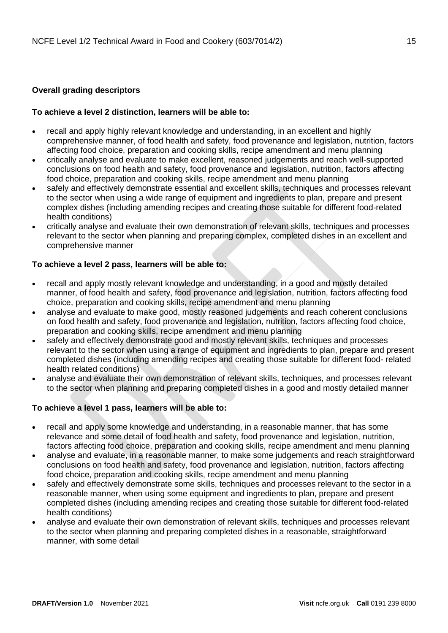## <span id="page-14-0"></span>**Overall grading descriptors**

## **To achieve a level 2 distinction, learners will be able to:**

- recall and apply highly relevant knowledge and understanding, in an excellent and highly comprehensive manner, of food health and safety, food provenance and legislation, nutrition, factors affecting food choice, preparation and cooking skills, recipe amendment and menu planning
- critically analyse and evaluate to make excellent, reasoned judgements and reach well-supported conclusions on food health and safety, food provenance and legislation, nutrition, factors affecting food choice, preparation and cooking skills, recipe amendment and menu planning
- safely and effectively demonstrate essential and excellent skills, techniques and processes relevant to the sector when using a wide range of equipment and ingredients to plan, prepare and present complex dishes (including amending recipes and creating those suitable for different food-related health conditions)
- critically analyse and evaluate their own demonstration of relevant skills, techniques and processes relevant to the sector when planning and preparing complex, completed dishes in an excellent and comprehensive manner

## **To achieve a level 2 pass, learners will be able to:**

- recall and apply mostly relevant knowledge and understanding, in a good and mostly detailed manner, of food health and safety, food provenance and legislation, nutrition, factors affecting food choice, preparation and cooking skills, recipe amendment and menu planning
- analyse and evaluate to make good, mostly reasoned judgements and reach coherent conclusions on food health and safety, food provenance and legislation, nutrition, factors affecting food choice, preparation and cooking skills, recipe amendment and menu planning
- safely and effectively demonstrate good and mostly relevant skills, techniques and processes relevant to the sector when using a range of equipment and ingredients to plan, prepare and present completed dishes (including amending recipes and creating those suitable for different food- related health related conditions)
- analyse and evaluate their own demonstration of relevant skills, techniques, and processes relevant to the sector when planning and preparing completed dishes in a good and mostly detailed manner

## **To achieve a level 1 pass, learners will be able to:**

- recall and apply some knowledge and understanding, in a reasonable manner, that has some relevance and some detail of food health and safety, food provenance and legislation, nutrition, factors affecting food choice, preparation and cooking skills, recipe amendment and menu planning
- analyse and evaluate, in a reasonable manner, to make some judgements and reach straightforward conclusions on food health and safety, food provenance and legislation, nutrition, factors affecting food choice, preparation and cooking skills, recipe amendment and menu planning
- safely and effectively demonstrate some skills, techniques and processes relevant to the sector in a reasonable manner, when using some equipment and ingredients to plan, prepare and present completed dishes (including amending recipes and creating those suitable for different food-related health conditions)
- analyse and evaluate their own demonstration of relevant skills, techniques and processes relevant to the sector when planning and preparing completed dishes in a reasonable, straightforward manner, with some detail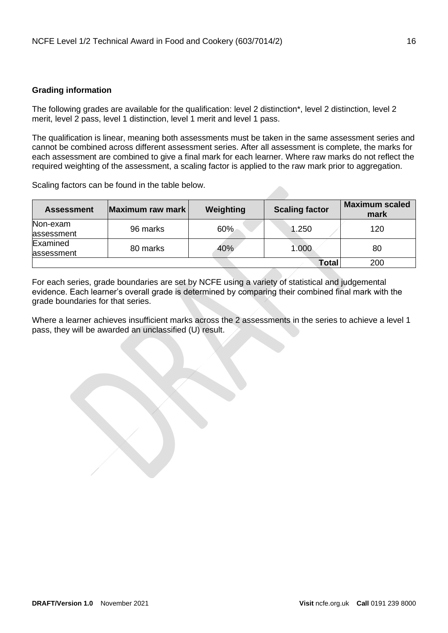## <span id="page-15-0"></span>**Grading information**

The following grades are available for the qualification: level 2 distinction\*, level 2 distinction, level 2 merit, level 2 pass, level 1 distinction, level 1 merit and level 1 pass.

The qualification is linear, meaning both assessments must be taken in the same assessment series and cannot be combined across different assessment series. After all assessment is complete, the marks for each assessment are combined to give a final mark for each learner. Where raw marks do not reflect the required weighting of the assessment, a scaling factor is applied to the raw mark prior to aggregation.

Scaling factors can be found in the table below.

| <b>Assessment</b> | Maximum raw mark | Weighting | <b>Scaling factor</b> | <b>Maximum scaled</b><br>mark |
|-------------------|------------------|-----------|-----------------------|-------------------------------|
| Non-exam          | 96 marks         | 60%       | 1.250                 | 120                           |
| assessment        |                  |           |                       |                               |
| Examined          | 80 marks         | 40%       | 1.000                 | 80                            |
| assessment        |                  |           |                       |                               |
|                   |                  |           | <b>Total</b>          | 200                           |

For each series, grade boundaries are set by NCFE using a variety of statistical and judgemental evidence. Each learner's overall grade is determined by comparing their combined final mark with the grade boundaries for that series.

Where a learner achieves insufficient marks across the 2 assessments in the series to achieve a level 1 pass, they will be awarded an unclassified (U) result.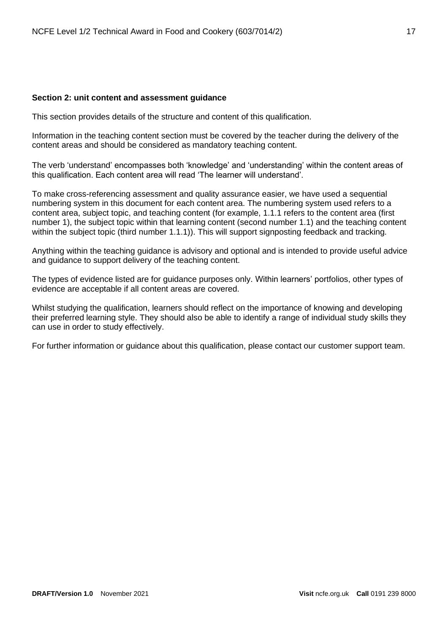#### <span id="page-16-0"></span>**Section 2: unit content and assessment guidance**

This section provides details of the structure and content of this qualification.

Information in the teaching content section must be covered by the teacher during the delivery of the content areas and should be considered as mandatory teaching content.

The verb 'understand' encompasses both 'knowledge' and 'understanding' within the content areas of this qualification. Each content area will read 'The learner will understand'.

To make cross-referencing assessment and quality assurance easier, we have used a sequential numbering system in this document for each content area. The numbering system used refers to a content area, subject topic, and teaching content (for example, 1.1.1 refers to the content area (first number 1), the subject topic within that learning content (second number 1.1) and the teaching content within the subject topic (third number 1.1.1)). This will support signposting feedback and tracking.

Anything within the teaching guidance is advisory and optional and is intended to provide useful advice and guidance to support delivery of the teaching content.

The types of evidence listed are for guidance purposes only. Within learners' portfolios, other types of evidence are acceptable if all content areas are covered.

Whilst studying the qualification, learners should reflect on the importance of knowing and developing their preferred learning style. They should also be able to identify a range of individual study skills they can use in order to study effectively.

For further information or guidance about this qualification, please contact our customer support team.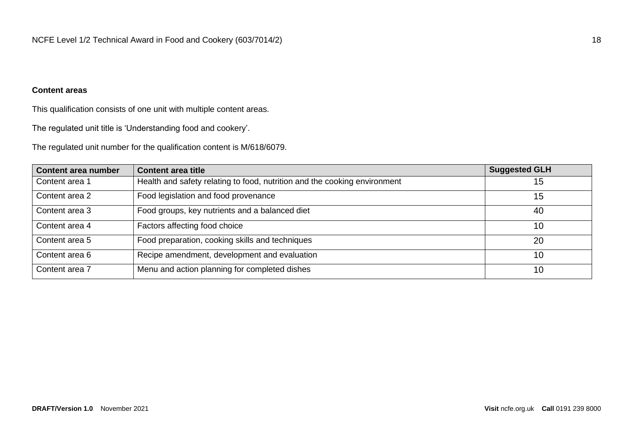## **Content areas**

This qualification consists of one unit with multiple content areas.

The regulated unit title is 'Understanding food and cookery'.

The regulated unit number for the qualification content is M/618/6079.

| Content area number | <b>Content area title</b>                                                 | <b>Suggested GLH</b> |
|---------------------|---------------------------------------------------------------------------|----------------------|
| Content area 1      | Health and safety relating to food, nutrition and the cooking environment | 15                   |
| Content area 2      | Food legislation and food provenance                                      | 15                   |
| Content area 3      | Food groups, key nutrients and a balanced diet                            | 40                   |
| Content area 4      | Factors affecting food choice                                             | 10                   |
| Content area 5      | Food preparation, cooking skills and techniques                           | 20                   |
| Content area 6      | Recipe amendment, development and evaluation                              | 10                   |
| Content area 7      | Menu and action planning for completed dishes                             | 10                   |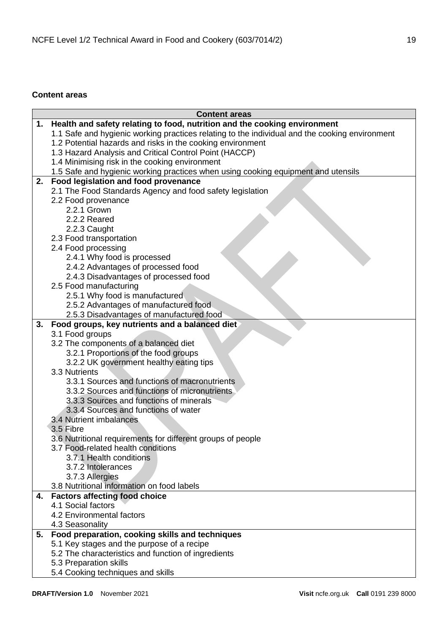## <span id="page-18-0"></span>**Content areas**

|    | <b>Content areas</b>                                                                           |
|----|------------------------------------------------------------------------------------------------|
| 1. | Health and safety relating to food, nutrition and the cooking environment                      |
|    | 1.1 Safe and hygienic working practices relating to the individual and the cooking environment |
|    | 1.2 Potential hazards and risks in the cooking environment                                     |
|    | 1.3 Hazard Analysis and Critical Control Point (HACCP)                                         |
|    | 1.4 Minimising risk in the cooking environment                                                 |
|    | 1.5 Safe and hygienic working practices when using cooking equipment and utensils              |
| 2. | Food legislation and food provenance                                                           |
|    | 2.1 The Food Standards Agency and food safety legislation                                      |
|    | 2.2 Food provenance                                                                            |
|    | 2.2.1 Grown                                                                                    |
|    | 2.2.2 Reared                                                                                   |
|    | 2.2.3 Caught                                                                                   |
|    | 2.3 Food transportation                                                                        |
|    | 2.4 Food processing                                                                            |
|    | 2.4.1 Why food is processed                                                                    |
|    | 2.4.2 Advantages of processed food                                                             |
|    | 2.4.3 Disadvantages of processed food                                                          |
|    | 2.5 Food manufacturing                                                                         |
|    | 2.5.1 Why food is manufactured                                                                 |
|    | 2.5.2 Advantages of manufactured food                                                          |
| 3. | 2.5.3 Disadvantages of manufactured food<br>Food groups, key nutrients and a balanced diet     |
|    | 3.1 Food groups                                                                                |
|    | 3.2 The components of a balanced diet                                                          |
|    | 3.2.1 Proportions of the food groups                                                           |
|    | 3.2.2 UK government healthy eating tips                                                        |
|    | 3.3 Nutrients                                                                                  |
|    | 3.3.1 Sources and functions of macronutrients                                                  |
|    | 3.3.2 Sources and functions of micronutrients                                                  |
|    | 3.3.3 Sources and functions of minerals                                                        |
|    | 3.3.4 Sources and functions of water                                                           |
|    | 3.4 Nutrient imbalances                                                                        |
|    | 3.5 Fibre                                                                                      |
|    | 3.6 Nutritional requirements for different groups of people                                    |
|    | 3.7 Food-related health conditions                                                             |
|    | 3.7.1 Health conditions                                                                        |
|    | 3.7.2 Intolerances                                                                             |
|    | 3.7.3 Allergies                                                                                |
|    | 3.8 Nutritional information on food labels                                                     |
| 4. | <b>Factors affecting food choice</b>                                                           |
|    | 4.1 Social factors                                                                             |
|    | 4.2 Environmental factors                                                                      |
|    | 4.3 Seasonality                                                                                |
| 5. | Food preparation, cooking skills and techniques                                                |
|    | 5.1 Key stages and the purpose of a recipe                                                     |
|    | 5.2 The characteristics and function of ingredients                                            |
|    | 5.3 Preparation skills                                                                         |
|    | 5.4 Cooking techniques and skills                                                              |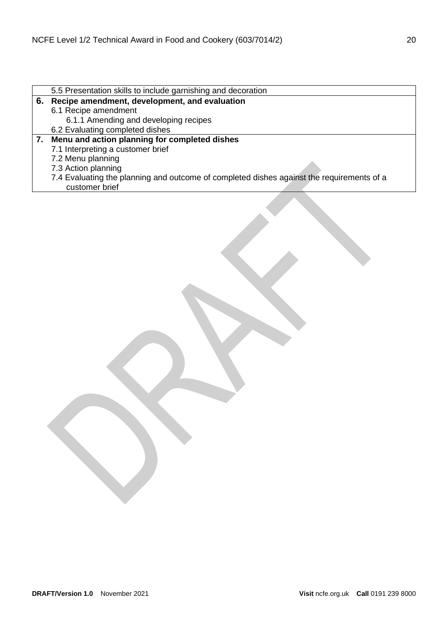| 5.5 Presentation skills to include garnishing and decoration                              |
|-------------------------------------------------------------------------------------------|
| 6. Recipe amendment, development, and evaluation                                          |
| 6.1 Recipe amendment                                                                      |
| 6.1.1 Amending and developing recipes                                                     |
| 6.2 Evaluating completed dishes                                                           |
| 7. Menu and action planning for completed dishes                                          |
| 7.1 Interpreting a customer brief                                                         |
| 7.2 Menu planning                                                                         |
| 7.3 Action planning                                                                       |
| 7.4 Evaluating the planning and outcome of completed dishes against the requirements of a |
| customer brief                                                                            |
|                                                                                           |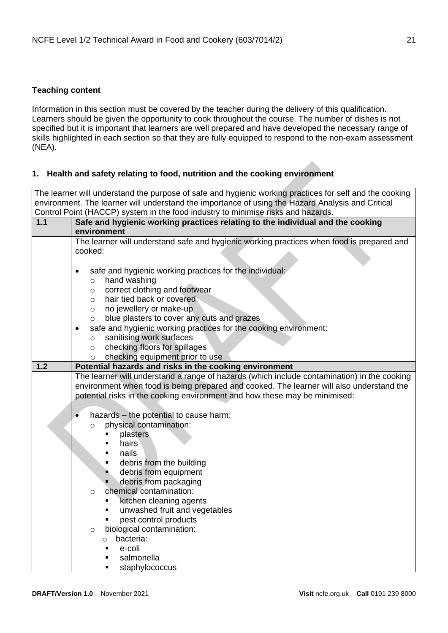## <span id="page-20-0"></span>**Teaching content**

Information in this section must be covered by the teacher during the delivery of this qualification. Learners should be given the opportunity to cook throughout the course. The number of dishes is not specified but it is important that learners are well prepared and have developed the necessary range of skills highlighted in each section so that they are fully equipped to respond to the non-exam assessment (NEA).

## <span id="page-20-1"></span>**1. Health and safety relating to food, nutrition and the cooking environment**

The learner will understand the purpose of safe and hygienic working practices for self and the cooking environment. The learner will understand the importance of using the Hazard Analysis and Critical Control Point (HACCP) system in the food industry to minimise risks and hazards.

| 1.1 | Safe and hygienic working practices relating to the individual and the cooking                       |  |  |  |
|-----|------------------------------------------------------------------------------------------------------|--|--|--|
|     | environment                                                                                          |  |  |  |
|     | The learner will understand safe and hygienic working practices when food is prepared and            |  |  |  |
|     | cooked:                                                                                              |  |  |  |
|     |                                                                                                      |  |  |  |
|     | safe and hygienic working practices for the individual:<br>$\bullet$                                 |  |  |  |
|     | hand washing<br>$\circ$                                                                              |  |  |  |
|     | correct clothing and footwear<br>$\circ$                                                             |  |  |  |
|     | hair tied back or covered<br>$\circ$                                                                 |  |  |  |
|     | no jewellery or make-up<br>$\circ$                                                                   |  |  |  |
|     | blue plasters to cover any cuts and grazes<br>$\circ$                                                |  |  |  |
|     | safe and hygienic working practices for the cooking environment:                                     |  |  |  |
|     | sanitising work surfaces<br>$\circ$                                                                  |  |  |  |
|     | checking floors for spillages<br>$\circ$                                                             |  |  |  |
| 1.2 | checking equipment prior to use<br>$\circ$<br>Potential hazards and risks in the cooking environment |  |  |  |
|     | The learner will understand a range of hazards (which include contamination) in the cooking          |  |  |  |
|     | environment when food is being prepared and cooked. The learner will also understand the             |  |  |  |
|     | potential risks in the cooking environment and how these may be minimised:                           |  |  |  |
|     |                                                                                                      |  |  |  |
|     | hazards - the potential to cause harm:                                                               |  |  |  |
|     | physical contamination:<br>$\circ$                                                                   |  |  |  |
|     | plasters                                                                                             |  |  |  |
|     | hairs                                                                                                |  |  |  |
|     | nails                                                                                                |  |  |  |
|     | debris from the building                                                                             |  |  |  |
|     | debris from equipment                                                                                |  |  |  |
|     | debris from packaging                                                                                |  |  |  |
|     | chemical contamination:<br>$\circ$                                                                   |  |  |  |
|     | kitchen cleaning agents                                                                              |  |  |  |
|     | unwashed fruit and vegetables                                                                        |  |  |  |
|     | pest control products                                                                                |  |  |  |
|     | biological contamination:<br>$\circ$                                                                 |  |  |  |
|     | bacteria:<br>$\circ$                                                                                 |  |  |  |
|     | e-coli                                                                                               |  |  |  |
|     | salmonella                                                                                           |  |  |  |
|     | staphylococcus                                                                                       |  |  |  |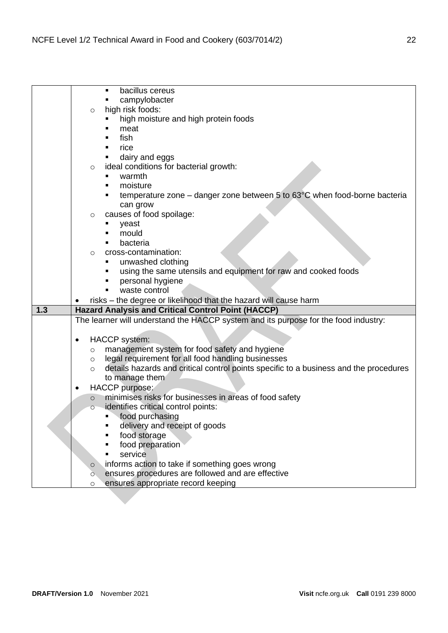|     | bacillus cereus<br>п                                                                             |
|-----|--------------------------------------------------------------------------------------------------|
|     | campylobacter                                                                                    |
|     | high risk foods:<br>$\circ$                                                                      |
|     | high moisture and high protein foods                                                             |
|     | meat                                                                                             |
|     | fish                                                                                             |
|     | rice                                                                                             |
|     | dairy and eggs                                                                                   |
|     | ideal conditions for bacterial growth:<br>$\circ$                                                |
|     | warmth                                                                                           |
|     | moisture                                                                                         |
|     | temperature zone – danger zone between 5 to $63^{\circ}$ C when food-borne bacteria              |
|     | can grow                                                                                         |
|     | causes of food spoilage:<br>O                                                                    |
|     | yeast                                                                                            |
|     | mould                                                                                            |
|     | bacteria                                                                                         |
|     | cross-contamination:<br>$\circ$                                                                  |
|     | unwashed clothing<br>п                                                                           |
|     | using the same utensils and equipment for raw and cooked foods                                   |
|     | personal hygiene                                                                                 |
|     | waste control                                                                                    |
|     |                                                                                                  |
|     |                                                                                                  |
|     | risks - the degree or likelihood that the hazard will cause harm                                 |
| 1.3 | <b>Hazard Analysis and Critical Control Point (HACCP)</b>                                        |
|     | The learner will understand the HACCP system and its purpose for the food industry:              |
|     | $\bullet$                                                                                        |
|     | <b>HACCP</b> system:                                                                             |
|     | management system for food safety and hygiene<br>O                                               |
|     | legal requirement for all food handling businesses<br>$\circ$                                    |
|     | details hazards and critical control points specific to a business and the procedures<br>$\circ$ |
|     | to manage them                                                                                   |
|     | HACCP purpose:                                                                                   |
|     | minimises risks for businesses in areas of food safety<br>$\circ$                                |
|     | identifies critical control points:<br>$\circ$                                                   |
|     | food purchasing                                                                                  |
|     | delivery and receipt of goods                                                                    |
|     | food storage                                                                                     |
|     | food preparation                                                                                 |
|     | service                                                                                          |
|     | informs action to take if something goes wrong<br>$\circ$                                        |
|     | ensures procedures are followed and are effective<br>Ò.                                          |
|     | ensures appropriate record keeping<br>$\circ$                                                    |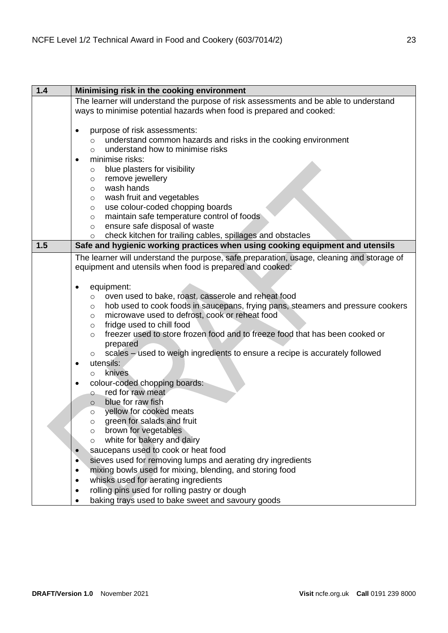| 1.4 | Minimising risk in the cooking environment                                                 |
|-----|--------------------------------------------------------------------------------------------|
|     | The learner will understand the purpose of risk assessments and be able to understand      |
|     | ways to minimise potential hazards when food is prepared and cooked:                       |
|     |                                                                                            |
|     | purpose of risk assessments:<br>$\bullet$                                                  |
|     | understand common hazards and risks in the cooking environment<br>$\circ$                  |
|     | understand how to minimise risks<br>$\circ$                                                |
|     | minimise risks:<br>$\bullet$                                                               |
|     | blue plasters for visibility<br>O                                                          |
|     | remove jewellery<br>$\circ$                                                                |
|     | wash hands<br>$\circ$                                                                      |
|     | wash fruit and vegetables<br>$\circ$                                                       |
|     | use colour-coded chopping boards<br>$\circ$                                                |
|     | maintain safe temperature control of foods<br>$\circ$                                      |
|     | ensure safe disposal of waste<br>$\circ$                                                   |
|     | check kitchen for trailing cables, spillages and obstacles<br>$\circ$                      |
| 1.5 | Safe and hygienic working practices when using cooking equipment and utensils              |
|     | The learner will understand the purpose, safe preparation, usage, cleaning and storage of  |
|     | equipment and utensils when food is prepared and cooked:                                   |
|     |                                                                                            |
|     | equipment:<br>$\bullet$                                                                    |
|     | oven used to bake, roast, casserole and reheat food<br>$\circ$                             |
|     | hob used to cook foods in saucepans, frying pans, steamers and pressure cookers<br>$\circ$ |
|     | microwave used to defrost, cook or reheat food<br>$\circ$                                  |
|     | fridge used to chill food<br>$\circ$                                                       |
|     | freezer used to store frozen food and to freeze food that has been cooked or<br>$\circ$    |
|     | prepared                                                                                   |
|     | scales – used to weigh ingredients to ensure a recipe is accurately followed<br>$\circ$    |
|     | utensils:<br>$\bullet$                                                                     |
|     | knives<br>$\circ$                                                                          |
|     | colour-coded chopping boards:<br>$\bullet$                                                 |
|     | red for raw meat<br>$\circ$                                                                |
|     | blue for raw fish<br>$\circ$                                                               |
|     | yellow for cooked meats<br>$\circ$                                                         |
|     | green for salads and fruit                                                                 |
|     | brown for vegetables<br>$\circ$                                                            |
|     | white for bakery and dairy<br>$\circ$                                                      |
|     | saucepans used to cook or heat food<br>$\bullet$                                           |
|     | sieves used for removing lumps and aerating dry ingredients<br>$\bullet$                   |
|     | mixing bowls used for mixing, blending, and storing food<br>$\bullet$                      |
|     | whisks used for aerating ingredients<br>٠                                                  |
|     | rolling pins used for rolling pastry or dough<br>٠                                         |
|     | baking trays used to bake sweet and savoury goods<br>$\bullet$                             |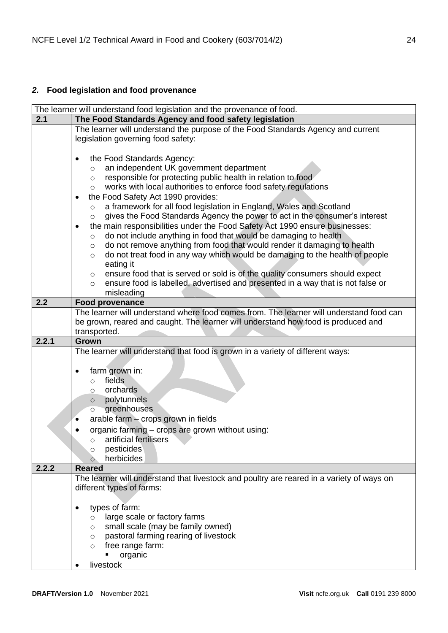# <span id="page-23-0"></span>*2.* **Food legislation and food provenance**

| The learner will understand food legislation and the provenance of food.                   |  |  |  |
|--------------------------------------------------------------------------------------------|--|--|--|
| The Food Standards Agency and food safety legislation                                      |  |  |  |
| The learner will understand the purpose of the Food Standards Agency and current           |  |  |  |
| legislation governing food safety:                                                         |  |  |  |
|                                                                                            |  |  |  |
| the Food Standards Agency:<br>$\bullet$                                                    |  |  |  |
| an independent UK government department<br>$\circ$                                         |  |  |  |
| responsible for protecting public health in relation to food<br>$\circ$                    |  |  |  |
| works with local authorities to enforce food safety regulations<br>$\circ$                 |  |  |  |
| the Food Safety Act 1990 provides:                                                         |  |  |  |
| a framework for all food legislation in England, Wales and Scotland<br>$\circ$             |  |  |  |
| gives the Food Standards Agency the power to act in the consumer's interest<br>$\circ$     |  |  |  |
| the main responsibilities under the Food Safety Act 1990 ensure businesses:<br>$\bullet$   |  |  |  |
| do not include anything in food that would be damaging to health<br>$\circ$                |  |  |  |
| do not remove anything from food that would render it damaging to health<br>$\circ$        |  |  |  |
| do not treat food in any way which would be damaging to the health of people<br>$\circ$    |  |  |  |
| eating it                                                                                  |  |  |  |
| ensure food that is served or sold is of the quality consumers should expect<br>$\circ$    |  |  |  |
| ensure food is labelled, advertised and presented in a way that is not false or<br>$\circ$ |  |  |  |
| misleading                                                                                 |  |  |  |
| <b>Food provenance</b>                                                                     |  |  |  |
| The learner will understand where food comes from. The learner will understand food can    |  |  |  |
| be grown, reared and caught. The learner will understand how food is produced and          |  |  |  |
| transported.                                                                               |  |  |  |
| Grown                                                                                      |  |  |  |
|                                                                                            |  |  |  |
| The learner will understand that food is grown in a variety of different ways:             |  |  |  |
|                                                                                            |  |  |  |
| farm grown in:<br>$\bullet$                                                                |  |  |  |
| fields<br>$\circ$                                                                          |  |  |  |
| orchards<br>$\circ$                                                                        |  |  |  |
| polytunnels<br>$\circ$                                                                     |  |  |  |
| greenhouses<br>$\circ$                                                                     |  |  |  |
| arable farm - crops grown in fields<br>$\bullet$                                           |  |  |  |
| organic farming - crops are grown without using:                                           |  |  |  |
| $\circ$ artificial fertilisers                                                             |  |  |  |
| pesticides<br>O                                                                            |  |  |  |
| herbicides<br>$\circ$                                                                      |  |  |  |
| <b>Reared</b>                                                                              |  |  |  |
| The learner will understand that livestock and poultry are reared in a variety of ways on  |  |  |  |
| different types of farms:                                                                  |  |  |  |
|                                                                                            |  |  |  |
| types of farm:<br>٠                                                                        |  |  |  |
| large scale or factory farms<br>$\circ$                                                    |  |  |  |
| small scale (may be family owned)<br>$\circ$                                               |  |  |  |
| pastoral farming rearing of livestock<br>$\circ$                                           |  |  |  |
| free range farm:<br>$\circ$<br>organic                                                     |  |  |  |
|                                                                                            |  |  |  |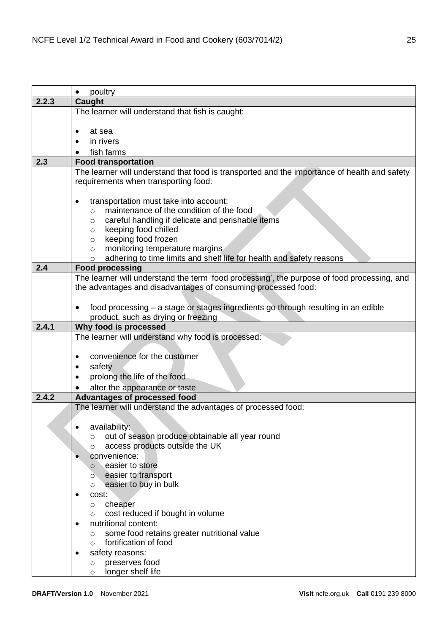|       | poultry                                                                                      |  |  |
|-------|----------------------------------------------------------------------------------------------|--|--|
| 2.2.3 | Caught                                                                                       |  |  |
|       | The learner will understand that fish is caught:                                             |  |  |
|       |                                                                                              |  |  |
|       | at sea                                                                                       |  |  |
|       | in rivers                                                                                    |  |  |
|       | fish farms                                                                                   |  |  |
| 2.3   | <b>Food transportation</b>                                                                   |  |  |
|       | The learner will understand that food is transported and the importance of health and safety |  |  |
|       | requirements when transporting food:                                                         |  |  |
|       |                                                                                              |  |  |
|       | transportation must take into account:                                                       |  |  |
|       | maintenance of the condition of the food<br>$\circ$                                          |  |  |
|       | careful handling if delicate and perishable items<br>$\circ$                                 |  |  |
|       | keeping food chilled<br>$\circ$<br>keeping food frozen                                       |  |  |
|       | $\circ$<br>monitoring temperature margins                                                    |  |  |
|       | $\circ$<br>adhering to time limits and shelf life for health and safety reasons              |  |  |
| 2.4   | $\circ$<br><b>Food processing</b>                                                            |  |  |
|       | The learner will understand the term 'food processing', the purpose of food processing, and  |  |  |
|       | the advantages and disadvantages of consuming processed food:                                |  |  |
|       |                                                                                              |  |  |
|       | food processing - a stage or stages ingredients go through resulting in an edible            |  |  |
|       | product, such as drying or freezing                                                          |  |  |
| 2.4.1 | Why food is processed                                                                        |  |  |
|       | The learner will understand why food is processed:                                           |  |  |
|       |                                                                                              |  |  |
|       | convenience for the customer                                                                 |  |  |
|       | safety                                                                                       |  |  |
|       | prolong the life of the food                                                                 |  |  |
|       | alter the appearance or taste                                                                |  |  |
| 2.4.2 | Advantages of processed food                                                                 |  |  |
|       | The learner will understand the advantages of processed food:                                |  |  |
|       |                                                                                              |  |  |
|       | availability:                                                                                |  |  |
|       | out of season produce obtainable all year round<br>$\circ$                                   |  |  |
|       | access products outside the UK<br>$\circ$                                                    |  |  |
|       | convenience:                                                                                 |  |  |
|       | easier to store<br>$\circ$                                                                   |  |  |
|       | easier to transport<br>$\circ$                                                               |  |  |
|       | easier to buy in bulk<br>$\circ$                                                             |  |  |
|       | cost:<br>$\bullet$                                                                           |  |  |
|       | cheaper<br>$\circ$                                                                           |  |  |
|       | cost reduced if bought in volume<br>$\circ$                                                  |  |  |
|       | nutritional content:                                                                         |  |  |
|       | some food retains greater nutritional value<br>$\circ$<br>fortification of food              |  |  |
|       | $\circ$                                                                                      |  |  |
|       | safety reasons:<br>٠<br>preserves food                                                       |  |  |
|       | $\circ$<br>longer shelf life                                                                 |  |  |
|       | $\circ$                                                                                      |  |  |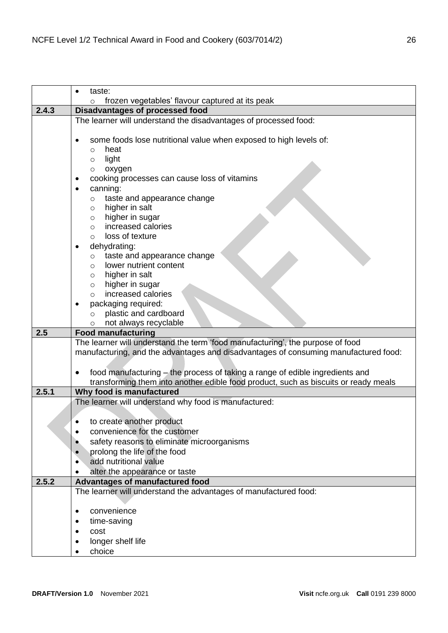|       | taste:                                                                               |  |  |
|-------|--------------------------------------------------------------------------------------|--|--|
|       | frozen vegetables' flavour captured at its peak<br>$\circ$                           |  |  |
| 2.4.3 | Disadvantages of processed food                                                      |  |  |
|       | The learner will understand the disadvantages of processed food:                     |  |  |
|       | some foods lose nutritional value when exposed to high levels of:<br>heat<br>$\circ$ |  |  |
|       | light<br>$\circ$                                                                     |  |  |
|       | oxygen<br>$\circ$                                                                    |  |  |
|       | cooking processes can cause loss of vitamins                                         |  |  |
|       | canning:<br>$\bullet$                                                                |  |  |
|       | taste and appearance change<br>$\circ$                                               |  |  |
|       | higher in salt<br>$\circ$                                                            |  |  |
|       | higher in sugar<br>$\circ$                                                           |  |  |
|       | increased calories<br>$\circ$                                                        |  |  |
|       | loss of texture<br>$\circ$                                                           |  |  |
|       | dehydrating:                                                                         |  |  |
|       | taste and appearance change<br>$\circ$                                               |  |  |
|       | lower nutrient content<br>$\circ$<br>higher in salt                                  |  |  |
|       | $\circ$<br>higher in sugar<br>$\circ$                                                |  |  |
|       | increased calories<br>$\circ$                                                        |  |  |
|       | packaging required:                                                                  |  |  |
|       | plastic and cardboard<br>$\circ$                                                     |  |  |
|       | not always recyclable<br>$\circ$                                                     |  |  |
| 2.5   | <b>Food manufacturing</b>                                                            |  |  |
|       | The learner will understand the term 'food manufacturing', the purpose of food       |  |  |
|       | manufacturing, and the advantages and disadvantages of consuming manufactured food:  |  |  |
|       |                                                                                      |  |  |
|       | food manufacturing – the process of taking a range of edible ingredients and         |  |  |
|       | transforming them into another edible food product, such as biscuits or ready meals  |  |  |
| 2.5.1 | Why food is manufactured                                                             |  |  |
|       | The learner will understand why food is manufactured:                                |  |  |
|       |                                                                                      |  |  |
|       | to create another product                                                            |  |  |
|       | convenience for the customer                                                         |  |  |
|       | safety reasons to eliminate microorganisms                                           |  |  |
|       | prolong the life of the food<br>$\bullet$<br>add nutritional value                   |  |  |
|       | alter the appearance or taste                                                        |  |  |
| 2.5.2 | Advantages of manufactured food                                                      |  |  |
|       | The learner will understand the advantages of manufactured food:                     |  |  |
|       |                                                                                      |  |  |
|       | convenience<br>$\bullet$                                                             |  |  |
|       | time-saving<br>$\bullet$                                                             |  |  |
|       | cost                                                                                 |  |  |
|       | longer shelf life                                                                    |  |  |
|       | choice                                                                               |  |  |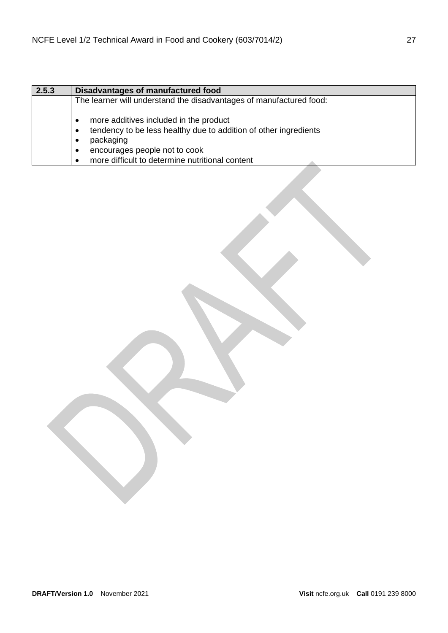| 2.5.3 | Disadvantages of manufactured food                                                                                                                                                                          |  |
|-------|-------------------------------------------------------------------------------------------------------------------------------------------------------------------------------------------------------------|--|
|       | The learner will understand the disadvantages of manufactured food:                                                                                                                                         |  |
|       | more additives included in the product<br>tendency to be less healthy due to addition of other ingredients<br>packaging<br>encourages people not to cook<br>more difficult to determine nutritional content |  |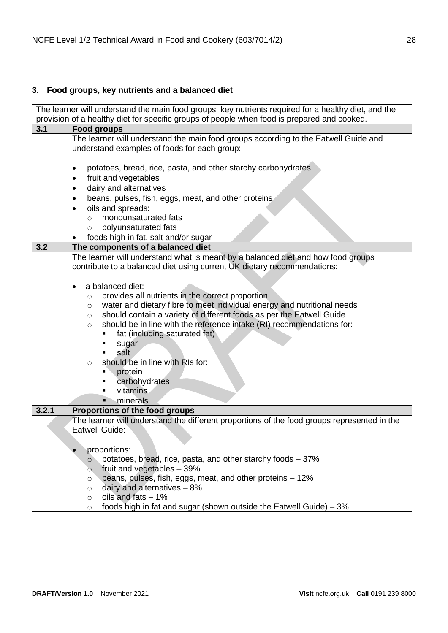# <span id="page-27-0"></span>**3. Food groups, key nutrients and a balanced diet**

|       | The learner will understand the main food groups, key nutrients required for a healthy diet, and the                                                                                                                                                                                                                                                                                                                                                                                                               |  |
|-------|--------------------------------------------------------------------------------------------------------------------------------------------------------------------------------------------------------------------------------------------------------------------------------------------------------------------------------------------------------------------------------------------------------------------------------------------------------------------------------------------------------------------|--|
|       | provision of a healthy diet for specific groups of people when food is prepared and cooked.                                                                                                                                                                                                                                                                                                                                                                                                                        |  |
| 3.1   | <b>Food groups</b>                                                                                                                                                                                                                                                                                                                                                                                                                                                                                                 |  |
|       | The learner will understand the main food groups according to the Eatwell Guide and<br>understand examples of foods for each group:                                                                                                                                                                                                                                                                                                                                                                                |  |
|       | potatoes, bread, rice, pasta, and other starchy carbohydrates<br>$\bullet$<br>fruit and vegetables<br>$\bullet$<br>dairy and alternatives<br>٠<br>beans, pulses, fish, eggs, meat, and other proteins.<br>٠<br>oils and spreads:                                                                                                                                                                                                                                                                                   |  |
|       | $\bullet$<br>monounsaturated fats<br>$\circ$                                                                                                                                                                                                                                                                                                                                                                                                                                                                       |  |
|       | polyunsaturated fats<br>$\circ$                                                                                                                                                                                                                                                                                                                                                                                                                                                                                    |  |
| 3.2   | foods high in fat, salt and/or sugar<br>The components of a balanced diet                                                                                                                                                                                                                                                                                                                                                                                                                                          |  |
|       | The learner will understand what is meant by a balanced diet and how food groups<br>contribute to a balanced diet using current UK dietary recommendations:                                                                                                                                                                                                                                                                                                                                                        |  |
|       | a balanced diet:<br>$\bullet$<br>provides all nutrients in the correct proportion<br>$\circ$<br>water and dietary fibre to meet individual energy and nutritional needs<br>$\circ$<br>should contain a variety of different foods as per the Eatwell Guide<br>$\circ$<br>should be in line with the reference intake (RI) recommendations for:<br>$\circ$<br>fat (including saturated fat)<br>sugar<br>salt<br>should be in line with RIs for:<br>$\circ$<br>protein<br>carbohydrates<br>vitamins<br>minerals<br>ш |  |
| 3.2.1 | Proportions of the food groups                                                                                                                                                                                                                                                                                                                                                                                                                                                                                     |  |
|       | The learner will understand the different proportions of the food groups represented in the<br>Eatwell Guide:                                                                                                                                                                                                                                                                                                                                                                                                      |  |
|       | proportions:                                                                                                                                                                                                                                                                                                                                                                                                                                                                                                       |  |
|       | potatoes, bread, rice, pasta, and other starchy foods - 37%<br>$\circ$<br>fruit and vegetables - 39%                                                                                                                                                                                                                                                                                                                                                                                                               |  |
|       | $\circ$<br>beans, pulses, fish, eggs, meat, and other proteins - 12%<br>$\circ$<br>dairy and alternatives - 8%<br>$\circ$                                                                                                                                                                                                                                                                                                                                                                                          |  |
|       | oils and fats - 1%<br>$\circ$                                                                                                                                                                                                                                                                                                                                                                                                                                                                                      |  |
|       | foods high in fat and sugar (shown outside the Eatwell Guide) $-3\%$<br>$\circ$                                                                                                                                                                                                                                                                                                                                                                                                                                    |  |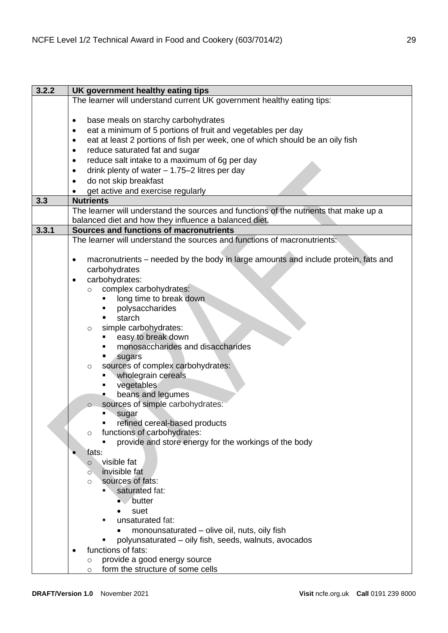| 3.2.2 | UK government healthy eating tips                                                     |
|-------|---------------------------------------------------------------------------------------|
|       | The learner will understand current UK government healthy eating tips:                |
|       |                                                                                       |
|       | base meals on starchy carbohydrates<br>٠                                              |
|       | eat a minimum of 5 portions of fruit and vegetables per day<br>$\bullet$              |
|       | eat at least 2 portions of fish per week, one of which should be an oily fish<br>٠    |
|       | reduce saturated fat and sugar<br>٠                                                   |
|       | reduce salt intake to a maximum of 6g per day<br>٠                                    |
|       | drink plenty of water $- 1.75 - 2$ litres per day<br>٠                                |
|       | do not skip breakfast<br>٠                                                            |
|       | get active and exercise regularly                                                     |
| 3.3   | <b>Nutrients</b>                                                                      |
|       | The learner will understand the sources and functions of the nutrients that make up a |
|       | balanced diet and how they influence a balanced diet.                                 |
| 3.3.1 | Sources and functions of macronutrients                                               |
|       | The learner will understand the sources and functions of macronutrients:              |
|       |                                                                                       |
|       | macronutrients - needed by the body in large amounts and include protein, fats and    |
|       | carbohydrates                                                                         |
|       | carbohydrates:<br>$\bullet$                                                           |
|       | complex carbohydrates:<br>$\circ$                                                     |
|       | long time to break down<br>٠                                                          |
|       | polysaccharides<br>٠                                                                  |
|       | starch<br>٠                                                                           |
|       | simple carbohydrates:<br>$\circ$                                                      |
|       | easy to break down<br>٠                                                               |
|       | monosaccharides and disaccharides                                                     |
|       | ٠<br>sugars                                                                           |
|       | sources of complex carbohydrates:<br>$\circ$                                          |
|       | wholegrain cereals<br>٠                                                               |
|       | vegetables<br>٠<br>beans and legumes                                                  |
|       | sources of simple carbohydrates:                                                      |
|       | $\circ$<br>sugar                                                                      |
|       | refined cereal-based products                                                         |
|       | functions of carbohydrates:<br>$\circ$                                                |
|       | provide and store energy for the workings of the body                                 |
|       | fats:                                                                                 |
|       | visible fat<br>$\circ$                                                                |
|       | invisible fat<br>$\circ$                                                              |
|       | sources of fats:<br>O                                                                 |
|       | saturated fat:                                                                        |
|       | butter                                                                                |
|       | suet                                                                                  |
|       | unsaturated fat:                                                                      |
|       | monounsaturated - olive oil, nuts, oily fish                                          |
|       | polyunsaturated – oily fish, seeds, walnuts, avocados                                 |
|       | functions of fats:                                                                    |
|       | provide a good energy source<br>$\circ$                                               |
|       | form the structure of some cells<br>$\circ$                                           |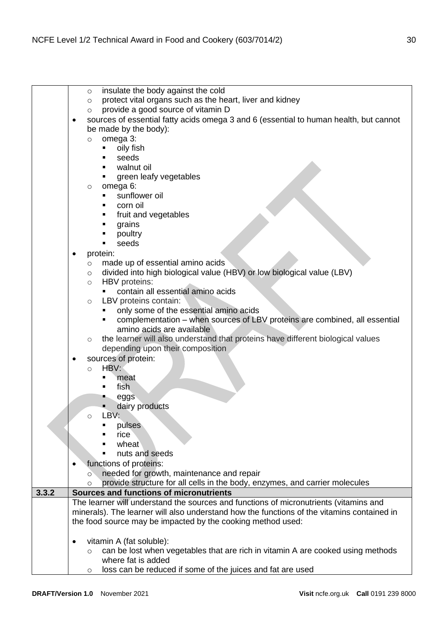|       | insulate the body against the cold<br>$\circ$                                                      |
|-------|----------------------------------------------------------------------------------------------------|
|       | protect vital organs such as the heart, liver and kidney<br>$\circ$                                |
|       | provide a good source of vitamin D<br>$\circ$                                                      |
|       | sources of essential fatty acids omega 3 and 6 (essential to human health, but cannot<br>$\bullet$ |
|       | be made by the body):                                                                              |
|       | omega 3:<br>$\circ$                                                                                |
|       |                                                                                                    |
|       | oily fish                                                                                          |
|       | seeds                                                                                              |
|       | walnut oil                                                                                         |
|       | green leafy vegetables                                                                             |
|       | omega 6:<br>$\circ$                                                                                |
|       | sunflower oil                                                                                      |
|       | corn oil<br>٠                                                                                      |
|       | fruit and vegetables                                                                               |
|       | grains<br>п                                                                                        |
|       | poultry                                                                                            |
|       | seeds                                                                                              |
|       | protein:<br>$\bullet$                                                                              |
|       | made up of essential amino acids                                                                   |
|       | $\circ$                                                                                            |
|       | divided into high biological value (HBV) or low biological value (LBV)<br>$\circ$                  |
|       | HBV proteins:<br>$\circ$                                                                           |
|       | contain all essential amino acids                                                                  |
|       | LBV proteins contain:<br>$\circ$                                                                   |
|       | only some of the essential amino acids                                                             |
|       | complementation - when sources of LBV proteins are combined, all essential                         |
|       | amino acids are available                                                                          |
|       | the learner will also understand that proteins have different biological values<br>$\circ$         |
|       | depending upon their composition                                                                   |
|       | sources of protein:<br>$\bullet$                                                                   |
|       | HBV:<br>$\circ$                                                                                    |
|       | meat<br>٠                                                                                          |
|       | fish<br>$\blacksquare$                                                                             |
|       | eggs                                                                                               |
|       |                                                                                                    |
|       | dairy products<br>LBV:                                                                             |
|       | $\circ$                                                                                            |
|       | pulses                                                                                             |
|       | rice                                                                                               |
|       | wheat                                                                                              |
|       | nuts and seeds                                                                                     |
|       | functions of proteins:                                                                             |
|       | needed for growth, maintenance and repair<br>$\circ$                                               |
|       | provide structure for all cells in the body, enzymes, and carrier molecules<br>$\circ$             |
| 3.3.2 | Sources and functions of micronutrients                                                            |
|       | The learner will understand the sources and functions of micronutrients (vitamins and              |
|       | minerals). The learner will also understand how the functions of the vitamins contained in         |
|       | the food source may be impacted by the cooking method used:                                        |
|       |                                                                                                    |
|       | vitamin A (fat soluble):<br>$\bullet$                                                              |
|       |                                                                                                    |
|       | can be lost when vegetables that are rich in vitamin A are cooked using methods<br>$\circ$         |
|       | where fat is added                                                                                 |
|       | loss can be reduced if some of the juices and fat are used<br>$\circ$                              |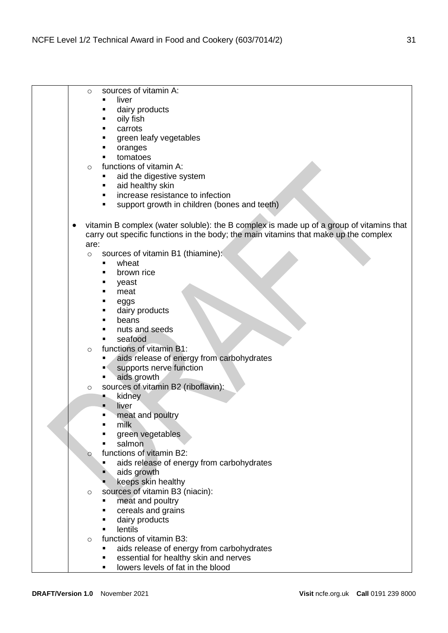|           | sources of vitamin A:<br>$\circ$                                                                                                                                                |
|-----------|---------------------------------------------------------------------------------------------------------------------------------------------------------------------------------|
|           | liver<br>٠                                                                                                                                                                      |
|           | dairy products<br>٠                                                                                                                                                             |
|           | oily fish<br>٠                                                                                                                                                                  |
|           | carrots                                                                                                                                                                         |
|           | green leafy vegetables                                                                                                                                                          |
|           | oranges                                                                                                                                                                         |
|           | tomatoes                                                                                                                                                                        |
|           | functions of vitamin A:<br>$\circ$                                                                                                                                              |
|           | ٠                                                                                                                                                                               |
|           | aid the digestive system                                                                                                                                                        |
|           | aid healthy skin<br>٠                                                                                                                                                           |
|           | increase resistance to infection<br>٠                                                                                                                                           |
|           | support growth in children (bones and teeth)<br>٠                                                                                                                               |
|           |                                                                                                                                                                                 |
| $\bullet$ | vitamin B complex (water soluble): the B complex is made up of a group of vitamins that<br>carry out specific functions in the body; the main vitamins that make up the complex |
|           |                                                                                                                                                                                 |
|           | are:                                                                                                                                                                            |
|           | sources of vitamin B1 (thiamine):<br>$\circ$                                                                                                                                    |
|           | wheat<br>٠                                                                                                                                                                      |
|           | brown rice<br>٠                                                                                                                                                                 |
|           | yeast                                                                                                                                                                           |
|           | meat                                                                                                                                                                            |
|           | eggs                                                                                                                                                                            |
|           | dairy products                                                                                                                                                                  |
|           | beans                                                                                                                                                                           |
|           | nuts and seeds                                                                                                                                                                  |
|           | seafood<br>٠                                                                                                                                                                    |
|           | functions of vitamin B1:<br>$\circ$                                                                                                                                             |
|           | aids release of energy from carbohydrates<br>٠                                                                                                                                  |
|           | supports nerve function<br>в۹                                                                                                                                                   |
|           | aids growth<br>٠                                                                                                                                                                |
|           | sources of vitamin B2 (riboflavin):<br>$\circ$                                                                                                                                  |
|           | kidney<br>в,                                                                                                                                                                    |
|           | liver                                                                                                                                                                           |
|           | meat and poultry                                                                                                                                                                |
|           | milk<br>■                                                                                                                                                                       |
|           | green vegetables                                                                                                                                                                |
|           | salmon                                                                                                                                                                          |
|           | functions of vitamin B2:                                                                                                                                                        |
|           | $\circ$                                                                                                                                                                         |
|           | aids release of energy from carbohydrates<br>٠                                                                                                                                  |
|           | aids growth                                                                                                                                                                     |
|           | keeps skin healthy                                                                                                                                                              |
|           | sources of vitamin B3 (niacin):<br>$\circ$                                                                                                                                      |
|           | meat and poultry<br>٠                                                                                                                                                           |
|           | cereals and grains<br>٠                                                                                                                                                         |
|           | dairy products<br>٠                                                                                                                                                             |
|           | lentils<br>$\blacksquare$                                                                                                                                                       |
|           | functions of vitamin B3:<br>$\circ$                                                                                                                                             |
|           | aids release of energy from carbohydrates                                                                                                                                       |
|           | essential for healthy skin and nerves                                                                                                                                           |
|           | lowers levels of fat in the blood<br>٠                                                                                                                                          |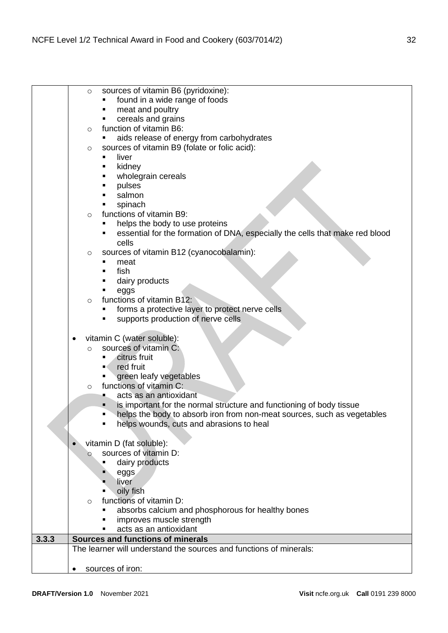|       | sources of vitamin B6 (pyridoxine):<br>$\circ$                                    |
|-------|-----------------------------------------------------------------------------------|
|       | found in a wide range of foods                                                    |
|       | meat and poultry<br>٠                                                             |
|       | cereals and grains                                                                |
|       | function of vitamin B6:<br>$\circ$                                                |
|       | aids release of energy from carbohydrates<br>٠                                    |
|       | sources of vitamin B9 (folate or folic acid):<br>$\circ$                          |
|       | liver<br>٠                                                                        |
|       | kidney<br>٠                                                                       |
|       | wholegrain cereals<br>٠                                                           |
|       | pulses                                                                            |
|       | salmon                                                                            |
|       | spinach                                                                           |
|       | functions of vitamin B9:<br>$\circ$                                               |
|       | helps the body to use proteins                                                    |
|       | essential for the formation of DNA, especially the cells that make red blood<br>٠ |
|       | cells                                                                             |
|       | sources of vitamin B12 (cyanocobalamin):<br>$\circ$                               |
|       | meat<br>٠                                                                         |
|       | fish<br>п                                                                         |
|       | dairy products<br>٠                                                               |
|       | ٠<br>eggs                                                                         |
|       | functions of vitamin B12:<br>$\circ$                                              |
|       | forms a protective layer to protect nerve cells<br>٠                              |
|       | supports production of nerve cells<br>٠                                           |
|       |                                                                                   |
|       | vitamin C (water soluble):<br>٠                                                   |
|       | sources of vitamin C:<br>$\circ$                                                  |
|       | citrus fruit<br>п                                                                 |
|       | red fruit<br>■く                                                                   |
|       | green leafy vegetables                                                            |
|       | functions of vitamin C:<br>$\circ$                                                |
|       | acts as an antioxidant<br>д,                                                      |
|       | is important for the normal structure and functioning of body tissue<br>٠         |
|       | helps the body to absorb iron from non-meat sources, such as vegetables<br>٠      |
|       | helps wounds, cuts and abrasions to heal<br>٠                                     |
|       |                                                                                   |
|       | vitamin D (fat soluble):                                                          |
|       | sources of vitamin D:<br>$\circ$                                                  |
|       | dairy products                                                                    |
|       | eggs                                                                              |
|       | liver                                                                             |
|       | oily fish<br>٠                                                                    |
|       | functions of vitamin D:<br>$\circ$                                                |
|       | absorbs calcium and phosphorous for healthy bones<br>٠                            |
|       | improves muscle strength<br>acts as an antioxidant<br>٠                           |
| 3.3.3 | Sources and functions of minerals                                                 |
|       | The learner will understand the sources and functions of minerals:                |
|       |                                                                                   |
|       | sources of iron:                                                                  |
|       |                                                                                   |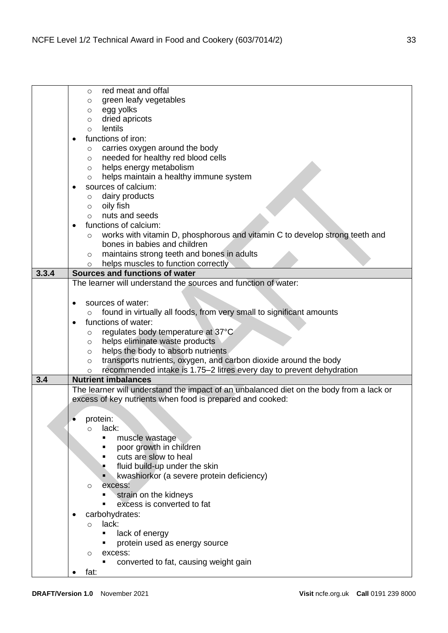|       | red meat and offal<br>$\circ$                                                           |
|-------|-----------------------------------------------------------------------------------------|
|       | green leafy vegetables<br>O                                                             |
|       | egg yolks<br>$\circ$                                                                    |
|       | dried apricots<br>$\circ$                                                               |
|       | lentils<br>$\circ$                                                                      |
|       | functions of iron:<br>$\bullet$                                                         |
|       | carries oxygen around the body<br>$\circ$                                               |
|       | needed for healthy red blood cells<br>$\circ$                                           |
|       | helps energy metabolism<br>O                                                            |
|       | helps maintain a healthy immune system<br>O                                             |
|       | sources of calcium:                                                                     |
|       | dairy products<br>$\circ$                                                               |
|       | oily fish                                                                               |
|       | $\circ$                                                                                 |
|       | nuts and seeds<br>$\circ$                                                               |
|       | functions of calcium:                                                                   |
|       | works with vitamin D, phosphorous and vitamin C to develop strong teeth and<br>$\circ$  |
|       | bones in babies and children                                                            |
|       | maintains strong teeth and bones in adults<br>$\circ$                                   |
|       | helps muscles to function correctly<br>$\circ$                                          |
| 3.3.4 | Sources and functions of water                                                          |
|       | The learner will understand the sources and function of water:                          |
|       |                                                                                         |
|       | sources of water:                                                                       |
|       | found in virtually all foods, from very small to significant amounts                    |
|       | $\circ$                                                                                 |
|       | functions of water:<br>$\bullet$                                                        |
|       | regulates body temperature at 37°C<br>$\circ$                                           |
|       | helps eliminate waste products<br>$\circ$                                               |
|       | helps the body to absorb nutrients<br>$\circ$                                           |
|       | transports nutrients, oxygen, and carbon dioxide around the body<br>$\circ$             |
|       | recommended intake is 1.75–2 litres every day to prevent dehydration<br>O               |
| 3.4   | <b>Nutrient imbalances</b>                                                              |
|       | The learner will understand the impact of an unbalanced diet on the body from a lack or |
|       | excess of key nutrients when food is prepared and cooked:                               |
|       |                                                                                         |
|       | protein:                                                                                |
|       | lack:<br>$\circ$                                                                        |
|       | muscle wastage<br>٠                                                                     |
|       | poor growth in children                                                                 |
|       | cuts are slow to heal                                                                   |
|       |                                                                                         |
|       | fluid build-up under the skin                                                           |
|       | kwashiorkor (a severe protein deficiency)                                               |
|       | excess:<br>O                                                                            |
|       | strain on the kidneys                                                                   |
|       | excess is converted to fat<br>п                                                         |
|       | carbohydrates:                                                                          |
|       | lack:<br>$\circ$                                                                        |
|       | lack of energy                                                                          |
|       | protein used as energy source                                                           |
|       | excess:<br>O                                                                            |
|       | converted to fat, causing weight gain<br>٠                                              |
|       | fat:                                                                                    |
|       |                                                                                         |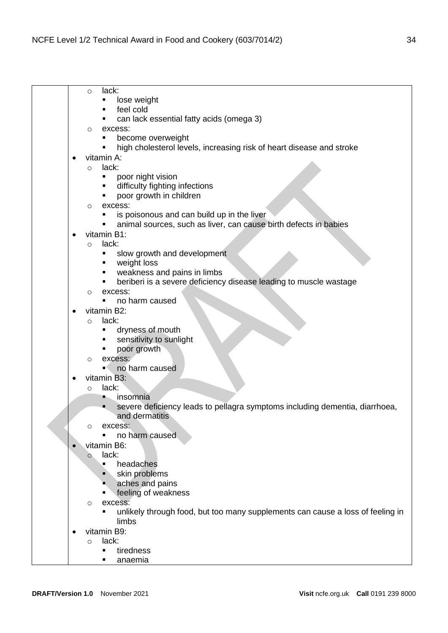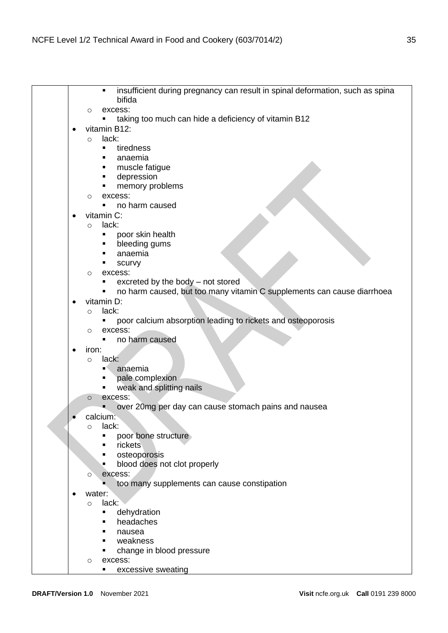|           | insufficient during pregnancy can result in spinal deformation, such as spina<br>bifida |
|-----------|-----------------------------------------------------------------------------------------|
|           |                                                                                         |
|           | excess:<br>O<br>taking too much can hide a deficiency of vitamin B12                    |
|           | vitamin B12:                                                                            |
| $\bullet$ | lack:                                                                                   |
|           | $\circ$<br>tiredness                                                                    |
|           | anaemia                                                                                 |
|           | muscle fatigue                                                                          |
|           | depression                                                                              |
|           | memory problems                                                                         |
|           | excess:                                                                                 |
|           | O<br>no harm caused                                                                     |
|           | vitamin C:                                                                              |
|           | lack:                                                                                   |
|           | $\circ$<br>poor skin health                                                             |
|           | bleeding gums                                                                           |
|           | anaemia                                                                                 |
|           | scurvy                                                                                  |
|           | excess:<br>$\circ$                                                                      |
|           | excreted by the body - not stored                                                       |
|           | no harm caused, but too many vitamin C supplements can cause diarrhoea                  |
|           | vitamin D:                                                                              |
|           | lack:<br>$\circ$                                                                        |
|           | poor calcium absorption leading to rickets and osteoporosis                             |
|           | excess:<br>$\circ$                                                                      |
|           | no harm caused                                                                          |
| $\bullet$ | iron:                                                                                   |
|           | lack:<br>$\circ$                                                                        |
|           | anaemia                                                                                 |
|           | pale complexion                                                                         |
|           | weak and splitting nails                                                                |
|           | excess:<br>$\circ$                                                                      |
|           | over 20mg per day can cause stomach pains and nausea                                    |
|           | calcium:                                                                                |
|           | lack:<br>$\circ$                                                                        |
|           | poor bone structure                                                                     |
|           | rickets                                                                                 |
|           | osteoporosis                                                                            |
|           | blood does not clot properly                                                            |
|           | excess:<br>O                                                                            |
|           | too many supplements can cause constipation                                             |
|           | water:                                                                                  |
|           | lack:<br>$\circ$                                                                        |
|           | dehydration                                                                             |
|           | headaches                                                                               |
|           | nausea                                                                                  |
|           | weakness                                                                                |
|           | change in blood pressure                                                                |
|           | excess:<br>O                                                                            |
|           | excessive sweating                                                                      |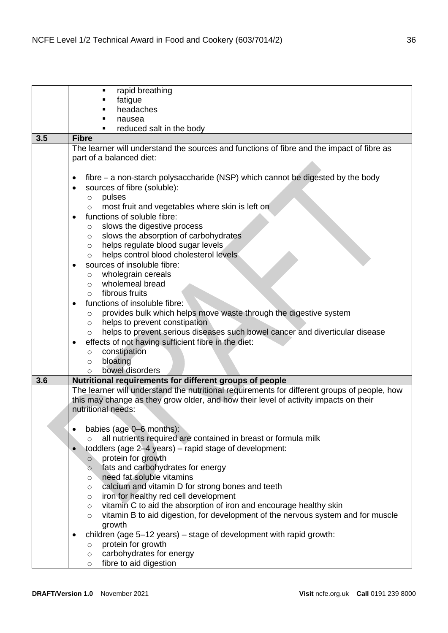|     | rapid breathing<br>٠                                                                                                  |
|-----|-----------------------------------------------------------------------------------------------------------------------|
|     | fatigue                                                                                                               |
|     | headaches                                                                                                             |
|     |                                                                                                                       |
|     | nausea                                                                                                                |
|     | reduced salt in the body                                                                                              |
| 3.5 | <b>Fibre</b>                                                                                                          |
|     | The learner will understand the sources and functions of fibre and the impact of fibre as<br>part of a balanced diet: |
|     | fibre - a non-starch polysaccharide (NSP) which cannot be digested by the body<br>٠                                   |
|     | sources of fibre (soluble):<br>$\bullet$                                                                              |
|     | pulses<br>$\circ$                                                                                                     |
|     | most fruit and vegetables where skin is left on<br>$\circ$                                                            |
|     | functions of soluble fibre:<br>$\bullet$                                                                              |
|     |                                                                                                                       |
|     | slows the digestive process<br>$\circ$                                                                                |
|     | slows the absorption of carbohydrates<br>$\circ$                                                                      |
|     | helps regulate blood sugar levels<br>$\circ$                                                                          |
|     | helps control blood cholesterol levels<br>$\circ$                                                                     |
|     | sources of insoluble fibre:                                                                                           |
|     | wholegrain cereals<br>$\circ$                                                                                         |
|     | wholemeal bread<br>$\circ$                                                                                            |
|     | fibrous fruits<br>$\bigcirc$                                                                                          |
|     | functions of insoluble fibre:                                                                                         |
|     | provides bulk which helps move waste through the digestive system<br>$\circ$                                          |
|     | helps to prevent constipation<br>$\circ$                                                                              |
|     | helps to prevent serious diseases such bowel cancer and diverticular disease<br>$\circ$                               |
|     | effects of not having sufficient fibre in the diet:<br>٠                                                              |
|     | constipation<br>$\circ$                                                                                               |
|     | bloating<br>$\circ$                                                                                                   |
|     | bowel disorders<br>O                                                                                                  |
| 3.6 | Nutritional requirements for different groups of people                                                               |
|     | The learner will understand the nutritional requirements for different groups of people, how                          |
|     | this may change as they grow older, and how their level of activity impacts on their                                  |
|     | nutritional needs:                                                                                                    |
|     |                                                                                                                       |
|     | babies (age 0–6 months):<br>$\bullet$                                                                                 |
|     | all nutrients required are contained in breast or formula milk                                                        |
|     | $\circ$                                                                                                               |
|     | toddlers (age 2-4 years) – rapid stage of development:                                                                |
|     | protein for growth<br>$\circ$                                                                                         |
|     | fats and carbohydrates for energy<br>$\circ$<br>need fat soluble vitamins                                             |
|     | $\circ$                                                                                                               |
|     | calcium and vitamin D for strong bones and teeth<br>$\circ$                                                           |
|     | iron for healthy red cell development<br>$\circ$                                                                      |
|     | vitamin C to aid the absorption of iron and encourage healthy skin<br>$\circ$                                         |
|     | vitamin B to aid digestion, for development of the nervous system and for muscle<br>$\circ$                           |
|     | growth                                                                                                                |
|     | children (age 5-12 years) – stage of development with rapid growth:<br>٠                                              |
|     | protein for growth<br>$\circ$                                                                                         |
|     | carbohydrates for energy<br>$\circ$                                                                                   |
|     | fibre to aid digestion<br>$\circ$                                                                                     |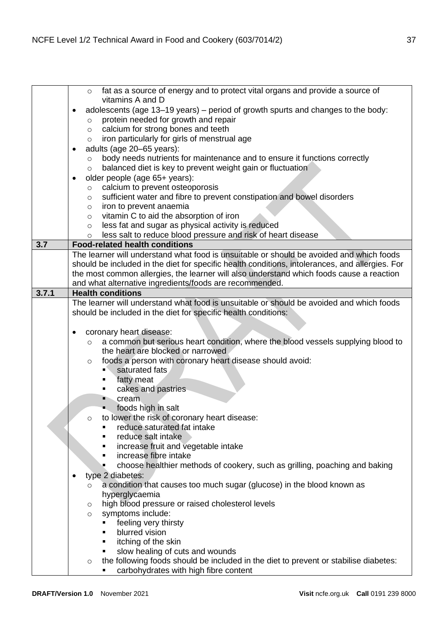|       | fat as a source of energy and to protect vital organs and provide a source of<br>$\circ$        |
|-------|-------------------------------------------------------------------------------------------------|
|       | vitamins A and D                                                                                |
|       |                                                                                                 |
|       | adolescents (age 13-19 years) - period of growth spurts and changes to the body:                |
|       | protein needed for growth and repair<br>$\circ$                                                 |
|       | calcium for strong bones and teeth<br>$\circ$                                                   |
|       | iron particularly for girls of menstrual age<br>$\circ$                                         |
|       | adults (age 20-65 years):<br>٠                                                                  |
|       | body needs nutrients for maintenance and to ensure it functions correctly<br>$\circ$            |
|       | balanced diet is key to prevent weight gain or fluctuation<br>$\circ$                           |
|       | older people (age 65+ years):                                                                   |
|       | calcium to prevent osteoporosis<br>$\circ$                                                      |
|       | sufficient water and fibre to prevent constipation and bowel disorders<br>$\circ$               |
|       | iron to prevent anaemia<br>$\circ$                                                              |
|       | vitamin C to aid the absorption of iron<br>$\circ$                                              |
|       | less fat and sugar as physical activity is reduced<br>$\circ$                                   |
|       | less salt to reduce blood pressure and risk of heart disease<br>$\circ$                         |
| 3.7   | <b>Food-related health conditions</b>                                                           |
|       | The learner will understand what food is unsuitable or should be avoided and which foods        |
|       | should be included in the diet for specific health conditions, intolerances, and allergies. For |
|       | the most common allergies, the learner will also understand which foods cause a reaction        |
|       | and what alternative ingredients/foods are recommended.                                         |
| 3.7.1 | <b>Health conditions</b>                                                                        |
|       | The learner will understand what food is unsuitable or should be avoided and which foods        |
|       | should be included in the diet for specific health conditions:                                  |
|       |                                                                                                 |
|       | coronary heart disease:<br>$\bullet$                                                            |
|       | a common but serious heart condition, where the blood vessels supplying blood to<br>$\circ$     |
|       | the heart are blocked or narrowed                                                               |
|       | foods a person with coronary heart disease should avoid:<br>$\circ$                             |
|       | saturated fats                                                                                  |
|       | fatty meat<br>٠                                                                                 |
|       | cakes and pastries                                                                              |
|       | cream                                                                                           |
|       | foods high in salt                                                                              |
|       | to lower the risk of coronary heart disease:<br>$\circ$                                         |
|       | reduce saturated fat intake                                                                     |
|       | reduce salt intake                                                                              |
|       | increase fruit and vegetable intake                                                             |
|       | increase fibre intake<br>П                                                                      |
|       | choose healthier methods of cookery, such as grilling, poaching and baking<br>П                 |
|       | type 2 diabetes:                                                                                |
|       | a condition that causes too much sugar (glucose) in the blood known as<br>$\circ$               |
|       | hyperglycaemia                                                                                  |
|       | high blood pressure or raised cholesterol levels<br>$\circ$                                     |
|       | symptoms include:<br>$\circ$                                                                    |
|       | feeling very thirsty<br>٠                                                                       |
|       | blurred vision<br>٠                                                                             |
|       | itching of the skin<br>٠                                                                        |
|       | slow healing of cuts and wounds<br>٠                                                            |
|       | the following foods should be included in the diet to prevent or stabilise diabetes:<br>O       |
|       | carbohydrates with high fibre content                                                           |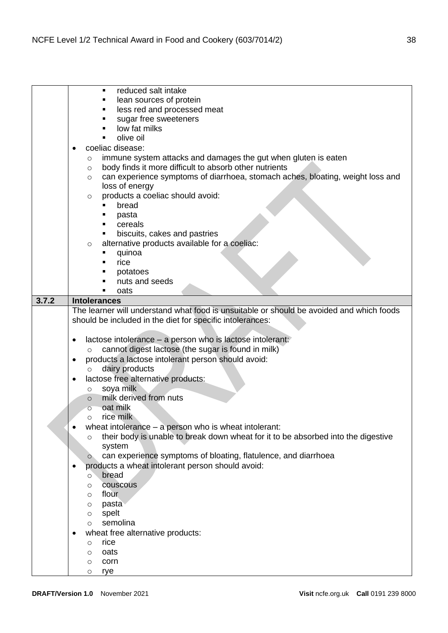|       | reduced salt intake<br>٠                                                                     |
|-------|----------------------------------------------------------------------------------------------|
|       | lean sources of protein<br>п                                                                 |
|       | less red and processed meat<br>п                                                             |
|       | sugar free sweeteners<br>п                                                                   |
|       | low fat milks<br>٠                                                                           |
|       | olive oil<br>$\blacksquare$                                                                  |
|       | coeliac disease:                                                                             |
|       | immune system attacks and damages the gut when gluten is eaten<br>O                          |
|       | body finds it more difficult to absorb other nutrients<br>$\circ$                            |
|       | can experience symptoms of diarrhoea, stomach aches, bloating, weight loss and<br>$\circ$    |
|       | loss of energy                                                                               |
|       | products a coeliac should avoid:<br>$\circ$                                                  |
|       | bread<br>п                                                                                   |
|       | pasta<br>п                                                                                   |
|       | cereals<br>$\blacksquare$                                                                    |
|       | biscuits, cakes and pastries<br>٠                                                            |
|       | alternative products available for a coeliac:<br>$\circ$                                     |
|       | quinoa<br>п                                                                                  |
|       | rice                                                                                         |
|       | potatoes                                                                                     |
|       | nuts and seeds                                                                               |
|       | oats<br>п                                                                                    |
| 3.7.2 | <b>Intolerances</b>                                                                          |
|       | The learner will understand what food is unsuitable or should be avoided and which foods     |
|       | should be included in the diet for specific intolerances:                                    |
|       |                                                                                              |
|       | lactose intolerance – a person who is lactose intolerant:<br>$\bullet$                       |
|       | cannot digest lactose (the sugar is found in milk)<br>$\circ$                                |
|       | products a lactose intolerant person should avoid:<br>٠                                      |
|       | dairy products<br>$\circ$                                                                    |
|       | lactose free alternative products:                                                           |
|       | soya milk<br>$\circ$                                                                         |
|       | milk derived from nuts<br>$\circ$                                                            |
|       | oat milk<br>$\circ$                                                                          |
|       | rice milk<br>$\bigcirc$                                                                      |
|       | wheat intolerance – a person who is wheat intolerant:                                        |
|       | their body is unable to break down wheat for it to be absorbed into the digestive<br>$\circ$ |
|       | system                                                                                       |
|       | can experience symptoms of bloating, flatulence, and diarrhoea<br>$\circ$                    |
|       | products a wheat intolerant person should avoid:                                             |
|       | bread<br>O                                                                                   |
|       | couscous<br>O                                                                                |
|       | flour<br>$\circ$                                                                             |
|       | pasta<br>O                                                                                   |
|       | spelt<br>O                                                                                   |
|       | semolina<br>O                                                                                |
|       | wheat free alternative products:                                                             |
|       | rice<br>$\circ$                                                                              |
|       | oats<br>$\circ$                                                                              |
|       | corn<br>O                                                                                    |
|       | rye<br>O                                                                                     |
|       |                                                                                              |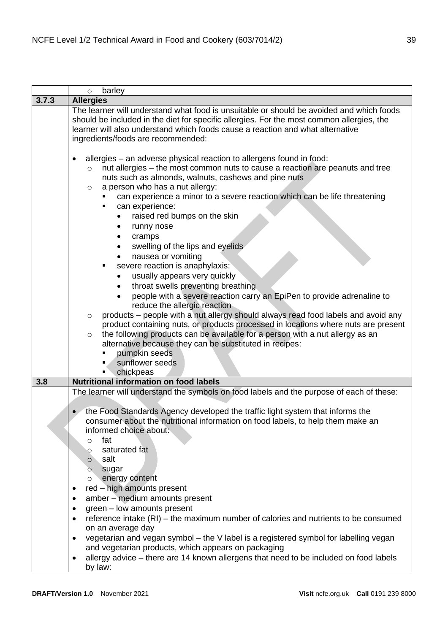|       | barley<br>$\circ$                                                                                                                                                                                                                                                                                                                                                                                                                                                                                                                                                                                                                                                                                                                                                                                                                                                                                                                                                                                                                                                                                                                             |
|-------|-----------------------------------------------------------------------------------------------------------------------------------------------------------------------------------------------------------------------------------------------------------------------------------------------------------------------------------------------------------------------------------------------------------------------------------------------------------------------------------------------------------------------------------------------------------------------------------------------------------------------------------------------------------------------------------------------------------------------------------------------------------------------------------------------------------------------------------------------------------------------------------------------------------------------------------------------------------------------------------------------------------------------------------------------------------------------------------------------------------------------------------------------|
| 3.7.3 | <b>Allergies</b>                                                                                                                                                                                                                                                                                                                                                                                                                                                                                                                                                                                                                                                                                                                                                                                                                                                                                                                                                                                                                                                                                                                              |
|       | The learner will understand what food is unsuitable or should be avoided and which foods<br>should be included in the diet for specific allergies. For the most common allergies, the<br>learner will also understand which foods cause a reaction and what alternative<br>ingredients/foods are recommended:                                                                                                                                                                                                                                                                                                                                                                                                                                                                                                                                                                                                                                                                                                                                                                                                                                 |
|       | allergies - an adverse physical reaction to allergens found in food:<br>$\bullet$<br>nut allergies – the most common nuts to cause a reaction are peanuts and tree<br>$\circ$<br>nuts such as almonds, walnuts, cashews and pine nuts<br>a person who has a nut allergy:<br>$\circ$<br>can experience a minor to a severe reaction which can be life threatening<br>can experience:<br>raised red bumps on the skin<br>runny nose<br>cramps<br>٠<br>swelling of the lips and eyelids<br>$\bullet$<br>nausea or vomiting<br>severe reaction is anaphylaxis:<br>٠<br>usually appears very quickly<br>throat swells preventing breathing<br>$\bullet$<br>people with a severe reaction carry an EpiPen to provide adrenaline to<br>reduce the allergic reaction<br>products – people with a nut allergy should always read food labels and avoid any<br>$\circ$<br>product containing nuts, or products processed in locations where nuts are present<br>the following products can be available for a person with a nut allergy as an<br>$\circ$<br>alternative because they can be substituted in recipes:<br>pumpkin seeds<br>sunflower seeds |
|       | chickpeas                                                                                                                                                                                                                                                                                                                                                                                                                                                                                                                                                                                                                                                                                                                                                                                                                                                                                                                                                                                                                                                                                                                                     |
| 3.8   | <b>Nutritional information on food labels</b>                                                                                                                                                                                                                                                                                                                                                                                                                                                                                                                                                                                                                                                                                                                                                                                                                                                                                                                                                                                                                                                                                                 |
|       | The learner will understand the symbols on food labels and the purpose of each of these:                                                                                                                                                                                                                                                                                                                                                                                                                                                                                                                                                                                                                                                                                                                                                                                                                                                                                                                                                                                                                                                      |
|       | the Food Standards Agency developed the traffic light system that informs the<br>consumer about the nutritional information on food labels, to help them make an<br>informed choice about:<br>fat<br>$\circ$<br>saturated fat<br>$\circ$<br>salt<br>$\circ$<br>sugar<br>$\circ$<br>energy content<br>$\circ$<br>red - high amounts present<br>$\bullet$                                                                                                                                                                                                                                                                                                                                                                                                                                                                                                                                                                                                                                                                                                                                                                                       |
|       | amber - medium amounts present<br>٠                                                                                                                                                                                                                                                                                                                                                                                                                                                                                                                                                                                                                                                                                                                                                                                                                                                                                                                                                                                                                                                                                                           |
|       | green - low amounts present<br>$\bullet$                                                                                                                                                                                                                                                                                                                                                                                                                                                                                                                                                                                                                                                                                                                                                                                                                                                                                                                                                                                                                                                                                                      |
|       | reference intake (RI) – the maximum number of calories and nutrients to be consumed<br>$\bullet$                                                                                                                                                                                                                                                                                                                                                                                                                                                                                                                                                                                                                                                                                                                                                                                                                                                                                                                                                                                                                                              |
|       | on an average day<br>vegetarian and vegan symbol - the V label is a registered symbol for labelling vegan<br>$\bullet$                                                                                                                                                                                                                                                                                                                                                                                                                                                                                                                                                                                                                                                                                                                                                                                                                                                                                                                                                                                                                        |
|       | and vegetarian products, which appears on packaging                                                                                                                                                                                                                                                                                                                                                                                                                                                                                                                                                                                                                                                                                                                                                                                                                                                                                                                                                                                                                                                                                           |
|       | allergy advice – there are 14 known allergens that need to be included on food labels<br>٠<br>by law:                                                                                                                                                                                                                                                                                                                                                                                                                                                                                                                                                                                                                                                                                                                                                                                                                                                                                                                                                                                                                                         |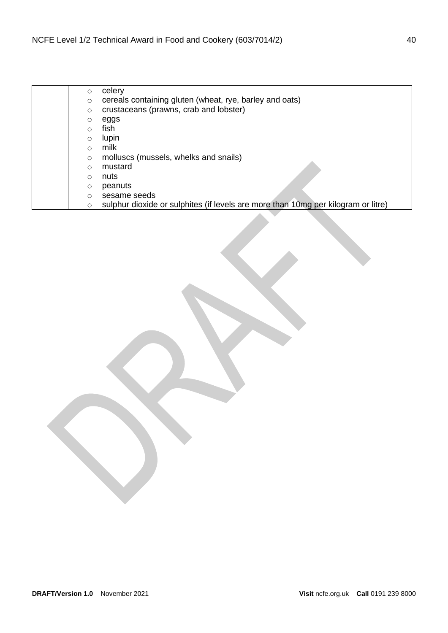| O        | celery                                                                            |
|----------|-----------------------------------------------------------------------------------|
| $\circ$  | cereals containing gluten (wheat, rye, barley and oats)                           |
| $\circ$  | crustaceans (prawns, crab and lobster)                                            |
| O        | eggs                                                                              |
| $\circ$  | fish.                                                                             |
| $\circ$  | lupin                                                                             |
| $\Omega$ | milk                                                                              |
| $\circ$  | molluscs (mussels, whelks and snails)                                             |
| $\Omega$ | mustard                                                                           |
| $\circ$  | nuts                                                                              |
| O        | peanuts                                                                           |
| $\circ$  | sesame seeds                                                                      |
| O        | sulphur dioxide or sulphites (if levels are more than 10mg per kilogram or litre) |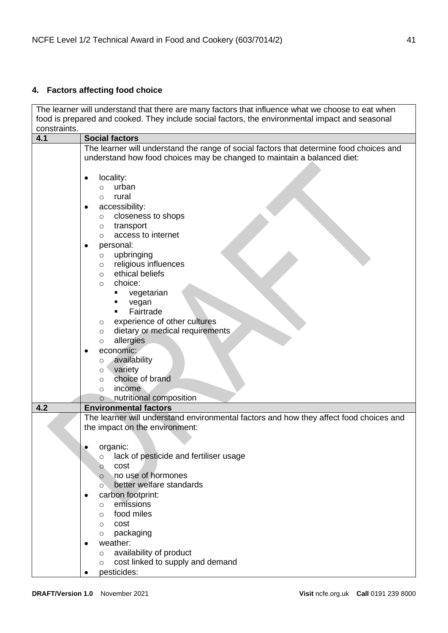# <span id="page-40-0"></span>**4. Factors affecting food choice**

|              | The learner will understand that there are many factors that influence what we choose to eat when |
|--------------|---------------------------------------------------------------------------------------------------|
|              | food is prepared and cooked. They include social factors, the environmental impact and seasonal   |
| constraints. |                                                                                                   |
| 4.1          | <b>Social factors</b>                                                                             |
|              | The learner will understand the range of social factors that determine food choices and           |
|              | understand how food choices may be changed to maintain a balanced diet:                           |
|              |                                                                                                   |
|              | locality:<br>urban                                                                                |
|              | O<br>rural<br>$\circ$                                                                             |
|              | accessibility:                                                                                    |
|              | closeness to shops<br>$\circ$                                                                     |
|              | transport<br>$\circ$                                                                              |
|              | access to internet<br>$\circ$                                                                     |
|              | personal:                                                                                         |
|              | upbringing<br>$\circ$                                                                             |
|              | religious influences<br>$\circ$                                                                   |
|              | ethical beliefs<br>$\circ$                                                                        |
|              | choice:<br>$\circ$                                                                                |
|              | vegetarian<br>٠                                                                                   |
|              | vegan                                                                                             |
|              | Fairtrade<br>$\blacksquare$                                                                       |
|              | experience of other cultures<br>$\circ$                                                           |
|              | dietary or medical requirements<br>$\circ$                                                        |
|              | allergies<br>$\circ$                                                                              |
|              | economic:                                                                                         |
|              | availability<br>O<br>variety                                                                      |
|              | $\circ$<br>choice of brand<br>$\circ$                                                             |
|              | income<br>$\circ$                                                                                 |
|              | nutritional composition<br>$\circ$                                                                |
| 4.2          | <b>Environmental factors</b>                                                                      |
|              | The learner will understand environmental factors and how they affect food choices and            |
|              | the impact on the environment:                                                                    |
|              |                                                                                                   |
|              | organic:                                                                                          |
|              | lack of pesticide and fertiliser usage<br>O                                                       |
|              | cost<br>O                                                                                         |
|              | no use of hormones<br>$\circ$                                                                     |
|              | better welfare standards<br>O                                                                     |
|              | carbon footprint:<br>emissions                                                                    |
|              | O<br>food miles                                                                                   |
|              | $\circ$<br>cost<br>$\circ$                                                                        |
|              | packaging<br>$\circ$                                                                              |
|              | weather:                                                                                          |
|              | availability of product<br>$\circ$                                                                |
|              | cost linked to supply and demand<br>O                                                             |
|              | pesticides:<br>٠                                                                                  |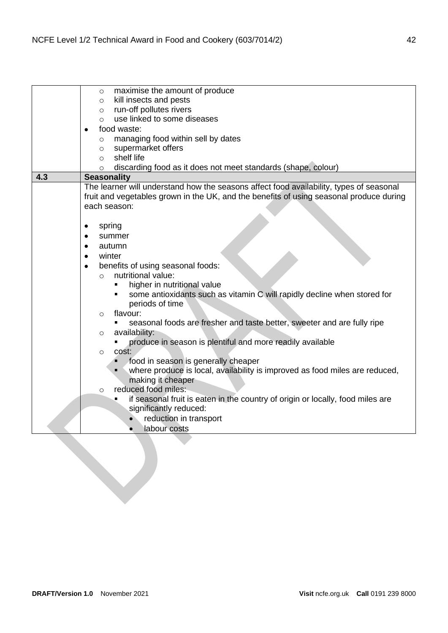|     | maximise the amount of produce<br>$\circ$                                               |
|-----|-----------------------------------------------------------------------------------------|
|     | kill insects and pests<br>$\circ$                                                       |
|     | run-off pollutes rivers<br>$\circ$                                                      |
|     | use linked to some diseases<br>$\circ$                                                  |
|     | food waste:<br>$\bullet$                                                                |
|     | managing food within sell by dates<br>$\circ$                                           |
|     | supermarket offers<br>$\circ$                                                           |
|     | shelf life<br>$\circ$                                                                   |
|     | discarding food as it does not meet standards (shape, colour)<br>$\circ$                |
| 4.3 | <b>Seasonality</b>                                                                      |
|     | The learner will understand how the seasons affect food availability, types of seasonal |
|     | fruit and vegetables grown in the UK, and the benefits of using seasonal produce during |
|     | each season:                                                                            |
|     |                                                                                         |
|     | spring<br>٠                                                                             |
|     | summer<br>٠                                                                             |
|     | autumn                                                                                  |
|     | winter                                                                                  |
|     | benefits of using seasonal foods:<br>$\bullet$                                          |
|     | nutritional value:<br>$\circ$                                                           |
|     | higher in nutritional value                                                             |
|     | some antioxidants such as vitamin C will rapidly decline when stored for                |
|     | periods of time                                                                         |
|     | flavour:<br>$\circ$                                                                     |
|     | seasonal foods are fresher and taste better, sweeter and are fully ripe                 |
|     | availability:<br>$\circ$                                                                |
|     | produce in season is plentiful and more readily available                               |
|     | cost:<br>$\circ$                                                                        |
|     | food in season is generally cheaper<br>٠                                                |
|     | where produce is local, availability is improved as food miles are reduced,<br>٠        |
|     | making it cheaper                                                                       |
|     | reduced food miles:<br>$\circ$                                                          |
|     | if seasonal fruit is eaten in the country of origin or locally, food miles are<br>Ξ     |
|     | significantly reduced:                                                                  |
|     | reduction in transport                                                                  |
|     | labour costs                                                                            |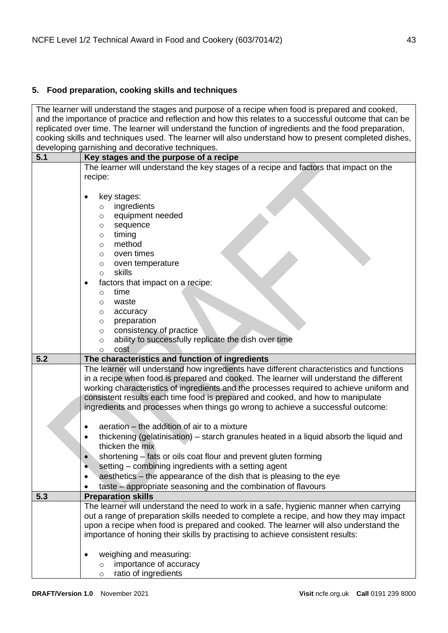## <span id="page-42-0"></span>**5. Food preparation, cooking skills and techniques**

The learner will understand the stages and purpose of a recipe when food is prepared and cooked, and the importance of practice and reflection and how this relates to a successful outcome that can be replicated over time. The learner will understand the function of ingredients and the food preparation, cooking skills and techniques used. The learner will also understand how to present completed dishes, developing garnishing and decorative techniques.

| uu vuupii iy | garmoning and according tooningaco.                                                      |
|--------------|------------------------------------------------------------------------------------------|
| 5.1          | Key stages and the purpose of a recipe                                                   |
|              | The learner will understand the key stages of a recipe and factors that impact on the    |
|              | recipe:                                                                                  |
|              |                                                                                          |
|              | key stages:                                                                              |
|              | ingredients<br>$\circ$                                                                   |
|              | equipment needed<br>O                                                                    |
|              | sequence<br>$\circ$                                                                      |
|              | timing<br>O                                                                              |
|              | method<br>$\circ$                                                                        |
|              | oven times<br>$\circ$                                                                    |
|              |                                                                                          |
|              | oven temperature<br>$\circ$                                                              |
|              | skills<br>$\circ$                                                                        |
|              | factors that impact on a recipe:<br>$\bullet$                                            |
|              | time<br>$\circ$                                                                          |
|              | waste<br>O                                                                               |
|              | accuracy<br>$\circ$                                                                      |
|              | preparation<br>O                                                                         |
|              | consistency of practice<br>$\circ$                                                       |
|              | ability to successfully replicate the dish over time<br>$\circ$                          |
|              | cost<br>$\circ$                                                                          |
| 5.2          | The characteristics and function of ingredients                                          |
|              | The learner will understand how ingredients have different characteristics and functions |
|              | in a recipe when food is prepared and cooked. The learner will understand the different  |
|              | working characteristics of ingredients and the processes required to achieve uniform and |
|              | consistent results each time food is prepared and cooked, and how to manipulate          |
|              | ingredients and processes when things go wrong to achieve a successful outcome:          |
|              |                                                                                          |
|              |                                                                                          |
|              | aeration – the addition of air to a mixture                                              |
|              | thickening (gelatinisation) – starch granules heated in a liquid absorb the liquid and   |
|              | thicken the mix                                                                          |
|              | shortening - fats or oils coat flour and prevent gluten forming                          |
|              | setting – combining ingredients with a setting agent                                     |
|              | aesthetics – the appearance of the dish that is pleasing to the eye                      |
|              | taste - appropriate seasoning and the combination of flavours                            |
| 5.3          | <b>Preparation skills</b>                                                                |
|              | The learner will understand the need to work in a safe, hygienic manner when carrying    |
|              | out a range of preparation skills needed to complete a recipe, and how they may impact   |
|              | upon a recipe when food is prepared and cooked. The learner will also understand the     |
|              |                                                                                          |
|              | importance of honing their skills by practising to achieve consistent results:           |
|              |                                                                                          |
|              | weighing and measuring:                                                                  |
|              | importance of accuracy<br>$\circ$                                                        |
|              | ratio of ingredients<br>$\circ$                                                          |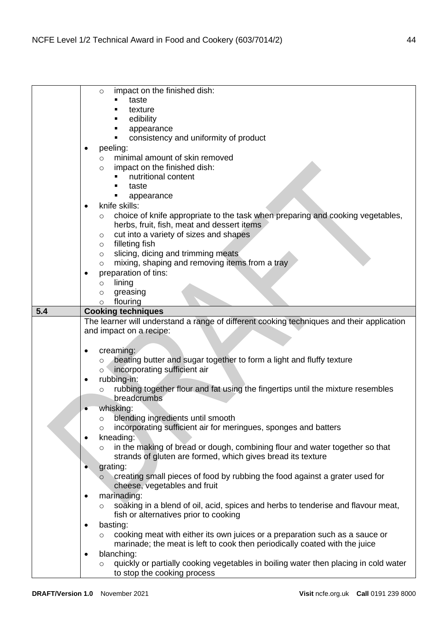|     | impact on the finished dish:<br>$\circ$                                                        |
|-----|------------------------------------------------------------------------------------------------|
|     | taste                                                                                          |
|     | texture                                                                                        |
|     | edibility                                                                                      |
|     | appearance                                                                                     |
|     | consistency and uniformity of product                                                          |
|     | peeling:<br>٠                                                                                  |
|     | minimal amount of skin removed<br>$\circ$                                                      |
|     | impact on the finished dish:<br>$\circ$                                                        |
|     | nutritional content<br>٠                                                                       |
|     | taste                                                                                          |
|     | ٠<br>appearance                                                                                |
|     | knife skills:<br>$\bullet$                                                                     |
|     | choice of knife appropriate to the task when preparing and cooking vegetables,<br>$\circ$      |
|     | herbs, fruit, fish, meat and dessert items                                                     |
|     | cut into a variety of sizes and shapes<br>$\circ$                                              |
|     | filleting fish<br>$\circ$                                                                      |
|     | slicing, dicing and trimming meats<br>$\circ$                                                  |
|     | mixing, shaping and removing items from a tray<br>$\circ$                                      |
|     | preparation of tins:                                                                           |
|     | lining<br>$\circ$                                                                              |
|     | greasing<br>$\circ$                                                                            |
|     | flouring<br>$\circ$                                                                            |
| 5.4 | <b>Cooking techniques</b>                                                                      |
|     | The learner will understand a range of different cooking techniques and their application      |
|     | and impact on a recipe:                                                                        |
|     |                                                                                                |
|     | creaming:                                                                                      |
|     | beating butter and sugar together to form a light and fluffy texture<br>$\circ$                |
|     | incorporating sufficient air<br>$\circ$                                                        |
|     | rubbing-in:<br>٠                                                                               |
|     | rubbing together flour and fat using the fingertips until the mixture resembles<br>$\circ$     |
|     | breadcrumbs                                                                                    |
|     | whisking:<br>$\bullet$                                                                         |
|     | blending ingredients until smooth<br>$\circ$                                                   |
|     | incorporating sufficient air for meringues, sponges and batters<br>$\circ$                     |
|     | kneading:                                                                                      |
|     | in the making of bread or dough, combining flour and water together so that<br>$\circ$         |
|     | strands of gluten are formed, which gives bread its texture                                    |
|     | grating:                                                                                       |
|     | creating small pieces of food by rubbing the food against a grater used for<br>$\circ$         |
|     | cheese, vegetables and fruit                                                                   |
|     | marinading:                                                                                    |
|     | soaking in a blend of oil, acid, spices and herbs to tenderise and flavour meat,<br>$\circ$    |
|     | fish or alternatives prior to cooking                                                          |
|     | basting:<br>$\bullet$                                                                          |
|     | cooking meat with either its own juices or a preparation such as a sauce or<br>$\circ$         |
|     |                                                                                                |
|     | marinade; the meat is left to cook then periodically coated with the juice                     |
|     | blanching:<br>$\bullet$                                                                        |
|     | quickly or partially cooking vegetables in boiling water then placing in cold water<br>$\circ$ |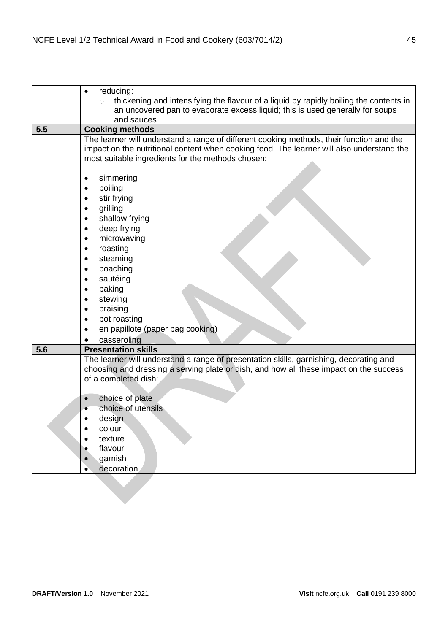|     | reducing:<br>$\bullet$                                                                            |
|-----|---------------------------------------------------------------------------------------------------|
|     | thickening and intensifying the flavour of a liquid by rapidly boiling the contents in<br>$\circ$ |
|     | an uncovered pan to evaporate excess liquid; this is used generally for soups                     |
|     | and sauces                                                                                        |
| 5.5 | <b>Cooking methods</b>                                                                            |
|     | The learner will understand a range of different cooking methods, their function and the          |
|     | impact on the nutritional content when cooking food. The learner will also understand the         |
|     | most suitable ingredients for the methods chosen:                                                 |
|     |                                                                                                   |
|     | simmering<br>$\bullet$                                                                            |
|     | boiling<br>$\bullet$                                                                              |
|     | stir frying                                                                                       |
|     | grilling                                                                                          |
|     | shallow frying<br>$\bullet$                                                                       |
|     | deep frying<br>$\bullet$                                                                          |
|     | microwaving<br>$\bullet$                                                                          |
|     | roasting                                                                                          |
|     | steaming<br>$\bullet$                                                                             |
|     | poaching                                                                                          |
|     | sautéing                                                                                          |
|     | baking                                                                                            |
|     | stewing<br>$\bullet$                                                                              |
|     | braising                                                                                          |
|     | pot roasting<br>$\bullet$                                                                         |
|     | en papillote (paper bag cooking)<br>$\bullet$                                                     |
| 5.6 | casseroling<br><b>Presentation skills</b>                                                         |
|     | The learner will understand a range of presentation skills, garnishing, decorating and            |
|     | choosing and dressing a serving plate or dish, and how all these impact on the success            |
|     | of a completed dish:                                                                              |
|     |                                                                                                   |
|     | choice of plate<br>$\bullet$                                                                      |
|     | choice of utensils                                                                                |
|     | design                                                                                            |
|     | colour<br>$\bullet$                                                                               |
|     | texture<br>$\bullet$                                                                              |
|     | flavour<br>$\bullet$                                                                              |
|     | garnish<br>$\bullet$                                                                              |
|     | decoration<br>$\bullet$                                                                           |
|     |                                                                                                   |
|     |                                                                                                   |
|     |                                                                                                   |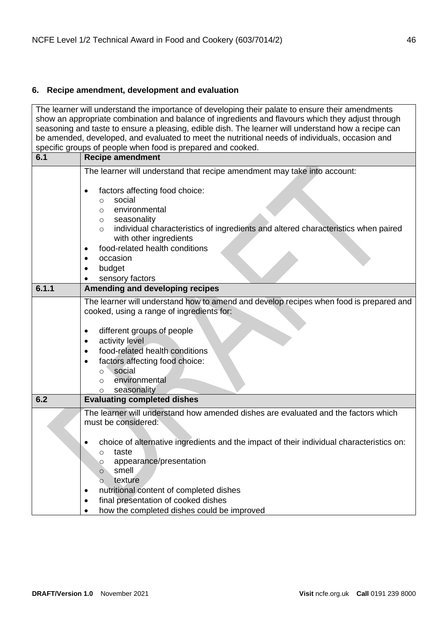## <span id="page-45-0"></span>**6. Recipe amendment, development and evaluation**

The learner will understand the importance of developing their palate to ensure their amendments show an appropriate combination and balance of ingredients and flavours which they adjust through seasoning and taste to ensure a pleasing, edible dish. The learner will understand how a recipe can be amended, developed, and evaluated to meet the nutritional needs of individuals, occasion and specific groups of people when food is prepared and cooked. **6.1 Recipe amendment** The learner will understand that recipe amendment may take into account: • factors affecting food choice: o social o environmental o seasonality o individual characteristics of ingredients and altered characteristics when paired with other ingredients • food-related health conditions • occasion • budget sensory factors **6.1.1 Amending and developing recipes** The learner will understand how to amend and develop recipes when food is prepared and cooked, using a range of ingredients for: different groups of people activity level • food-related health conditions factors affecting food choice: o social o environmental o seasonality **6.2 Evaluating completed dishes** The learner will understand how amended dishes are evaluated and the factors which must be considered: • choice of alternative ingredients and the impact of their individual characteristics on: o taste o appearance/presentation o smell o texture • nutritional content of completed dishes final presentation of cooked dishes • how the completed dishes could be improved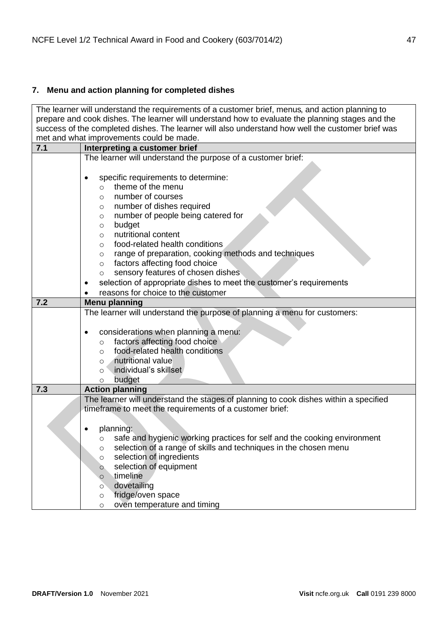# <span id="page-46-0"></span>**7. Menu and action planning for completed dishes**

|                                                                                                   | The learner will understand the requirements of a customer brief, menus, and action planning to |  |
|---------------------------------------------------------------------------------------------------|-------------------------------------------------------------------------------------------------|--|
| prepare and cook dishes. The learner will understand how to evaluate the planning stages and the  |                                                                                                 |  |
| success of the completed dishes. The learner will also understand how well the customer brief was |                                                                                                 |  |
| met and what improvements could be made.                                                          |                                                                                                 |  |
| 7.1                                                                                               | Interpreting a customer brief                                                                   |  |
|                                                                                                   | The learner will understand the purpose of a customer brief:                                    |  |
|                                                                                                   |                                                                                                 |  |
|                                                                                                   | specific requirements to determine:                                                             |  |
|                                                                                                   | theme of the menu<br>$\circ$                                                                    |  |
|                                                                                                   | number of courses<br>$\circ$                                                                    |  |
|                                                                                                   | number of dishes required<br>$\circ$                                                            |  |
|                                                                                                   | number of people being catered for<br>$\circ$                                                   |  |
|                                                                                                   | budget<br>$\circ$                                                                               |  |
|                                                                                                   | nutritional content<br>$\circ$                                                                  |  |
|                                                                                                   | food-related health conditions<br>$\circ$                                                       |  |
|                                                                                                   | range of preparation, cooking methods and techniques<br>$\circ$                                 |  |
|                                                                                                   | factors affecting food choice<br>$\circ$                                                        |  |
|                                                                                                   | sensory features of chosen dishes<br>$\circ$                                                    |  |
|                                                                                                   | selection of appropriate dishes to meet the customer's requirements                             |  |
|                                                                                                   | reasons for choice to the customer                                                              |  |
| 7.2                                                                                               | <b>Menu planning</b>                                                                            |  |
|                                                                                                   | The learner will understand the purpose of planning a menu for customers:                       |  |
|                                                                                                   |                                                                                                 |  |
|                                                                                                   | considerations when planning a menu:                                                            |  |
|                                                                                                   | factors affecting food choice<br>$\circ$                                                        |  |
|                                                                                                   | food-related health conditions<br>$\circ$                                                       |  |
|                                                                                                   | nutritional value<br>$\circ$                                                                    |  |
|                                                                                                   | individual's skillset<br>$\circ$                                                                |  |
|                                                                                                   | budget<br>$\circ$                                                                               |  |
| 7.3                                                                                               | <b>Action planning</b>                                                                          |  |
|                                                                                                   | The learner will understand the stages of planning to cook dishes within a specified            |  |
|                                                                                                   | timeframe to meet the requirements of a customer brief:                                         |  |
|                                                                                                   |                                                                                                 |  |
|                                                                                                   | planning:                                                                                       |  |
|                                                                                                   | safe and hygienic working practices for self and the cooking environment                        |  |
|                                                                                                   | selection of a range of skills and techniques in the chosen menu<br>O                           |  |
|                                                                                                   | selection of ingredients<br>$\circ$                                                             |  |
|                                                                                                   | selection of equipment<br>$\circ$                                                               |  |
|                                                                                                   | timeline<br>$\circ$                                                                             |  |
|                                                                                                   | dovetailing<br>$\circ$                                                                          |  |
|                                                                                                   | fridge/oven space<br>$\circ$                                                                    |  |
|                                                                                                   | oven temperature and timing<br>$\circ$                                                          |  |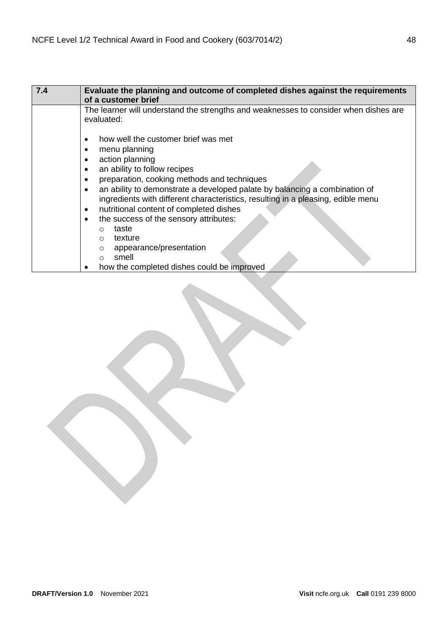| 7.4 | Evaluate the planning and outcome of completed dishes against the requirements<br>of a customer brief |
|-----|-------------------------------------------------------------------------------------------------------|
|     | The learner will understand the strengths and weaknesses to consider when dishes are<br>evaluated:    |
|     | how well the customer brief was met<br>٠                                                              |
|     | menu planning                                                                                         |
|     | action planning<br>$\bullet$                                                                          |
|     | an ability to follow recipes                                                                          |
|     | preparation, cooking methods and techniques<br>$\bullet$                                              |
|     | an ability to demonstrate a developed palate by balancing a combination of<br>$\bullet$               |
|     | ingredients with different characteristics, resulting in a pleasing, edible menu                      |
|     | nutritional content of completed dishes<br>٠                                                          |
|     | the success of the sensory attributes:<br>$\bullet$                                                   |
|     | taste<br>O                                                                                            |
|     | texture<br>$\Omega$                                                                                   |
|     | appearance/presentation<br>$\circ$                                                                    |
|     | smell<br>∩                                                                                            |
|     | how the completed dishes could be improved                                                            |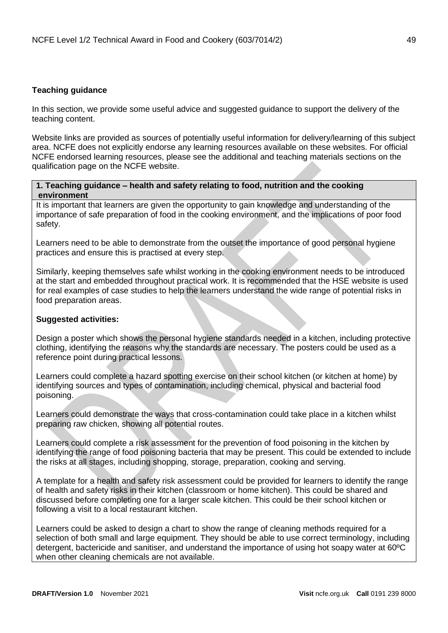## <span id="page-48-0"></span>**Teaching guidance**

In this section, we provide some useful advice and suggested guidance to support the delivery of the teaching content.

Website links are provided as sources of potentially useful information for delivery/learning of this subject area. NCFE does not explicitly endorse any learning resources available on these websites. For official NCFE endorsed learning resources, please see the additional and teaching materials sections on the qualification page on the NCFE website.

## **1. Teaching guidance – health and safety relating to food, nutrition and the cooking environment**

It is important that learners are given the opportunity to gain knowledge and understanding of the importance of safe preparation of food in the cooking environment, and the implications of poor food safety.

Learners need to be able to demonstrate from the outset the importance of good personal hygiene practices and ensure this is practised at every step.

Similarly, keeping themselves safe whilst working in the cooking environment needs to be introduced at the start and embedded throughout practical work. It is recommended that the HSE website is used for real examples of case studies to help the learners understand the wide range of potential risks in food preparation areas.

## **Suggested activities:**

Design a poster which shows the personal hygiene standards needed in a kitchen, including protective clothing, identifying the reasons why the standards are necessary. The posters could be used as a reference point during practical lessons.

Learners could complete a hazard spotting exercise on their school kitchen (or kitchen at home) by identifying sources and types of contamination, including chemical, physical and bacterial food poisoning.

Learners could demonstrate the ways that cross-contamination could take place in a kitchen whilst preparing raw chicken, showing all potential routes.

Learners could complete a risk assessment for the prevention of food poisoning in the kitchen by identifying the range of food poisoning bacteria that may be present. This could be extended to include the risks at all stages, including shopping, storage, preparation, cooking and serving.

A template for a health and safety risk assessment could be provided for learners to identify the range of health and safety risks in their kitchen (classroom or home kitchen). This could be shared and discussed before completing one for a larger scale kitchen. This could be their school kitchen or following a visit to a local restaurant kitchen.

Learners could be asked to design a chart to show the range of cleaning methods required for a selection of both small and large equipment. They should be able to use correct terminology, including detergent, bactericide and sanitiser, and understand the importance of using hot soapy water at 60ºC when other cleaning chemicals are not available.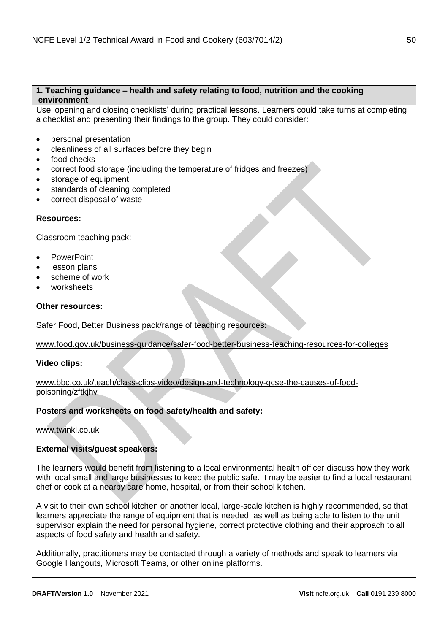## **1. Teaching guidance – health and safety relating to food, nutrition and the cooking environment**

Use 'opening and closing checklists' during practical lessons. Learners could take turns at completing a checklist and presenting their findings to the group. They could consider:

- personal presentation
- cleanliness of all surfaces before they begin
- food checks
- correct food storage (including the temperature of fridges and freezes)
- storage of equipment
- standards of cleaning completed
- correct disposal of waste

## **Resources:**

Classroom teaching pack:

- PowerPoint
- lesson plans
- scheme of work
- worksheets

## **Other resources:**

Safer Food, Better Business pack/range of teaching resources:

[www.food.gov.uk/business-guidance/safer-food-better-business-teaching-resources-for-colleges](https://www.food.gov.uk/business-guidance/safer-food-better-business-teaching-resources-for-colleges)

## **Video clips:**

[www.bbc.co.uk/teach/class-clips-video/design-and-technology-gcse-the-causes-of-food](https://www.bbc.co.uk/teach/class-clips-video/design-and-technology-gcse-the-causes-of-food-poisoning/zftkjhv)[poisoning/zftkjhv](https://www.bbc.co.uk/teach/class-clips-video/design-and-technology-gcse-the-causes-of-food-poisoning/zftkjhv)

## **Posters and worksheets on food safety/health and safety:**

## [www.twinkl.co.uk](https://www.twinkl.co.uk/)

## **External visits/guest speakers:**

The learners would benefit from listening to a local environmental health officer discuss how they work with local small and large businesses to keep the public safe. It may be easier to find a local restaurant chef or cook at a nearby care home, hospital, or from their school kitchen.

A visit to their own school kitchen or another local, large-scale kitchen is highly recommended, so that learners appreciate the range of equipment that is needed, as well as being able to listen to the unit supervisor explain the need for personal hygiene, correct protective clothing and their approach to all aspects of food safety and health and safety.

Additionally, practitioners may be contacted through a variety of methods and speak to learners via Google Hangouts, Microsoft Teams, or other online platforms.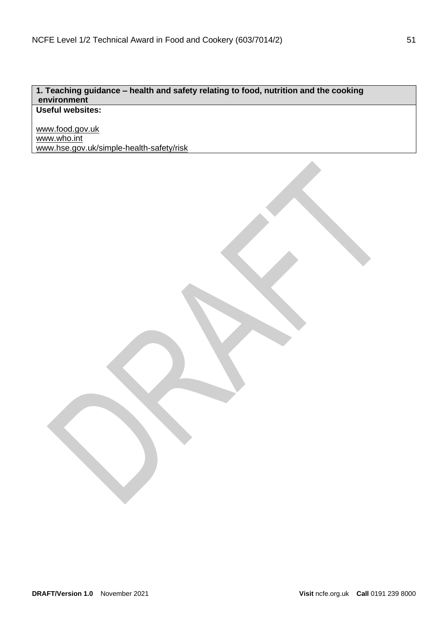## **1. Teaching guidance – health and safety relating to food, nutrition and the cooking environment Useful websites:**

[www.food.gov.uk](http://www.food.gov.uk/) [www.who.int](http://www.who.int/) [www.hse.gov.uk/simple-health-safety/risk](http://www.hse.gov.uk/simple-health-safety/risk)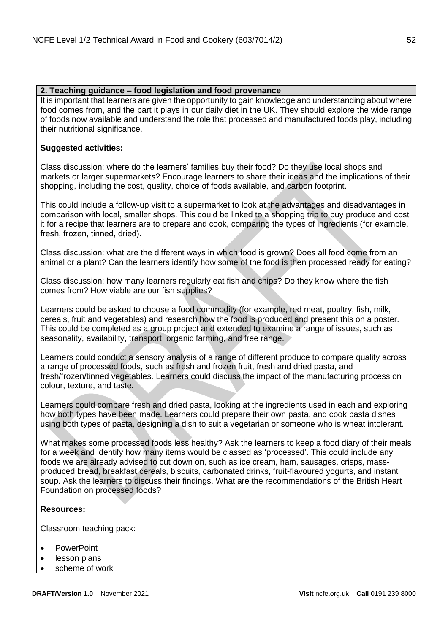## **2. Teaching guidance – food legislation and food provenance**

It is important that learners are given the opportunity to gain knowledge and understanding about where food comes from, and the part it plays in our daily diet in the UK. They should explore the wide range of foods now available and understand the role that processed and manufactured foods play, including their nutritional significance.

## **Suggested activities:**

Class discussion: where do the learners' families buy their food? Do they use local shops and markets or larger supermarkets? Encourage learners to share their ideas and the implications of their shopping, including the cost, quality, choice of foods available, and carbon footprint.

This could include a follow-up visit to a supermarket to look at the advantages and disadvantages in comparison with local, smaller shops. This could be linked to a shopping trip to buy produce and cost it for a recipe that learners are to prepare and cook, comparing the types of ingredients (for example, fresh, frozen, tinned, dried).

Class discussion: what are the different ways in which food is grown? Does all food come from an animal or a plant? Can the learners identify how some of the food is then processed ready for eating?

Class discussion: how many learners regularly eat fish and chips? Do they know where the fish comes from? How viable are our fish supplies?

Learners could be asked to choose a food commodity (for example, red meat, poultry, fish, milk, cereals, fruit and vegetables) and research how the food is produced and present this on a poster. This could be completed as a group project and extended to examine a range of issues, such as seasonality, availability, transport, organic farming, and free range.

Learners could conduct a sensory analysis of a range of different produce to compare quality across a range of processed foods, such as fresh and frozen fruit, fresh and dried pasta, and fresh/frozen/tinned vegetables. Learners could discuss the impact of the manufacturing process on colour, texture, and taste.

Learners could compare fresh and dried pasta, looking at the ingredients used in each and exploring how both types have been made. Learners could prepare their own pasta, and cook pasta dishes using both types of pasta, designing a dish to suit a vegetarian or someone who is wheat intolerant.

What makes some processed foods less healthy? Ask the learners to keep a food diary of their meals for a week and identify how many items would be classed as 'processed'. This could include any foods we are already advised to cut down on, such as ice cream, ham, sausages, crisps, massproduced bread, breakfast cereals, biscuits, carbonated drinks, fruit-flavoured yogurts, and instant soup. Ask the learners to discuss their findings. What are the recommendations of the British Heart Foundation on processed foods?

## **Resources:**

Classroom teaching pack:

- PowerPoint
- lesson plans
- scheme of work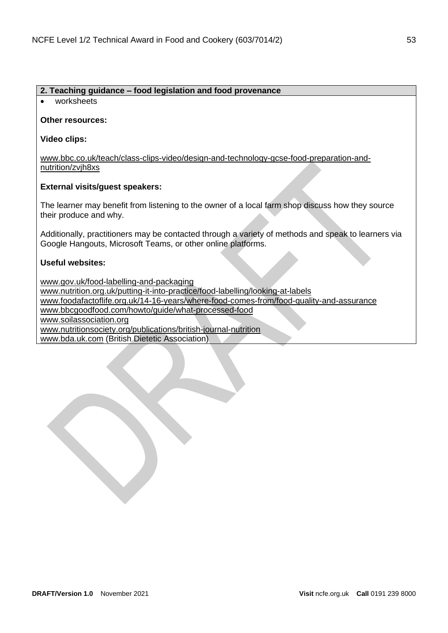## **2. Teaching guidance – food legislation and food provenance**

• worksheets

## **Other resources:**

**Video clips:**

[www.bbc.co.uk/teach/class-clips-video/design-and-technology-gcse-food-preparation-and](https://www.bbc.co.uk/teach/class-clips-video/design-and-technology-gcse-food-preparation-and-nutrition/zvjh8xs)[nutrition/zvjh8xs](https://www.bbc.co.uk/teach/class-clips-video/design-and-technology-gcse-food-preparation-and-nutrition/zvjh8xs)

## **External visits/guest speakers:**

The learner may benefit from listening to the owner of a local farm shop discuss how they source their produce and why.

Additionally, practitioners may be contacted through a variety of methods and speak to learners via Google Hangouts, Microsoft Teams, or other online platforms.

## **Useful websites:**

[www.gov.uk/food-labelling-and-packaging](https://www.gov.uk/food-labelling-and-packaging) [www.nutrition.org.uk/putting-it-into-practice/food-labelling/looking-at-labels](https://www.nutrition.org.uk/putting-it-into-practice/food-labelling/looking-at-labels/?level=Consumer) [www.foodafactoflife.org.uk/14-16-years/where-food-comes-from/food-quality-and-assurance](https://www.foodafactoflife.org.uk/14-16-years/where-food-comes-from/food-quality-and-assurance/) [www.bbcgoodfood.com/howto/guide/what-processed-food](http://www.bbcgoodfood.com/howto/guide/what-processed-food) [www.soilassociation.org](https://www.soilassociation.org/) [www.nutritionsociety.org/publications/british-journal-nutrition](https://www.nutritionsociety.org/publications/british-journal-nutrition%22%20https:/www.nutritionsociety.org/publications/british-journal-nutrition%22nal-nutrition) [www.bda.uk.com](https://www.bda.uk.com/) (British Dietetic Association)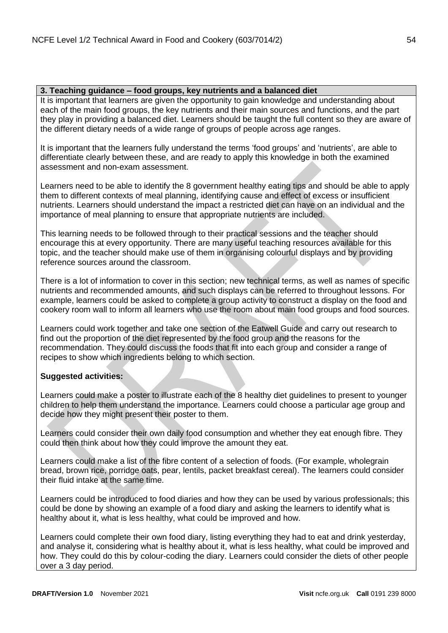## **3. Teaching guidance – food groups, key nutrients and a balanced diet**

It is important that learners are given the opportunity to gain knowledge and understanding about each of the main food groups, the key nutrients and their main sources and functions, and the part they play in providing a balanced diet. Learners should be taught the full content so they are aware of the different dietary needs of a wide range of groups of people across age ranges.

It is important that the learners fully understand the terms 'food groups' and 'nutrients', are able to differentiate clearly between these, and are ready to apply this knowledge in both the examined assessment and non-exam assessment.

Learners need to be able to identify the 8 government healthy eating tips and should be able to apply them to different contexts of meal planning, identifying cause and effect of excess or insufficient nutrients. Learners should understand the impact a restricted diet can have on an individual and the importance of meal planning to ensure that appropriate nutrients are included.

This learning needs to be followed through to their practical sessions and the teacher should encourage this at every opportunity. There are many useful teaching resources available for this topic, and the teacher should make use of them in organising colourful displays and by providing reference sources around the classroom.

There is a lot of information to cover in this section; new technical terms, as well as names of specific nutrients and recommended amounts, and such displays can be referred to throughout lessons. For example, learners could be asked to complete a group activity to construct a display on the food and cookery room wall to inform all learners who use the room about main food groups and food sources.

Learners could work together and take one section of the Eatwell Guide and carry out research to find out the proportion of the diet represented by the food group and the reasons for the recommendation. They could discuss the foods that fit into each group and consider a range of recipes to show which ingredients belong to which section.

## **Suggested activities:**

Learners could make a poster to illustrate each of the 8 healthy diet guidelines to present to younger children to help them understand the importance. Learners could choose a particular age group and decide how they might present their poster to them.

Learners could consider their own daily food consumption and whether they eat enough fibre. They could then think about how they could improve the amount they eat.

Learners could make a list of the fibre content of a selection of foods. (For example, wholegrain bread, brown rice, porridge oats, pear, lentils, packet breakfast cereal). The learners could consider their fluid intake at the same time.

Learners could be introduced to food diaries and how they can be used by various professionals; this could be done by showing an example of a food diary and asking the learners to identify what is healthy about it, what is less healthy, what could be improved and how.

Learners could complete their own food diary, listing everything they had to eat and drink yesterday, and analyse it, considering what is healthy about it, what is less healthy, what could be improved and how. They could do this by colour-coding the diary. Learners could consider the diets of other people over a 3 day period.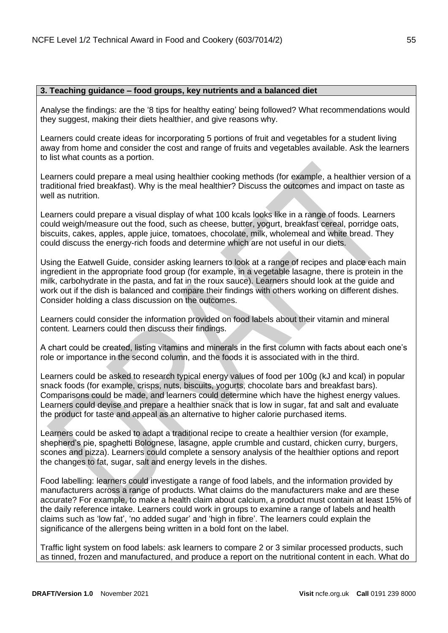#### **3. Teaching guidance – food groups, key nutrients and a balanced diet**

Analyse the findings: are the '8 tips for healthy eating' being followed? What recommendations would they suggest, making their diets healthier, and give reasons why.

Learners could create ideas for incorporating 5 portions of fruit and vegetables for a student living away from home and consider the cost and range of fruits and vegetables available. Ask the learners to list what counts as a portion.

Learners could prepare a meal using healthier cooking methods (for example, a healthier version of a traditional fried breakfast). Why is the meal healthier? Discuss the outcomes and impact on taste as well as nutrition.

Learners could prepare a visual display of what 100 kcals looks like in a range of foods. Learners could weigh/measure out the food, such as cheese, butter, yogurt, breakfast cereal, porridge oats, biscuits, cakes, apples, apple juice, tomatoes, chocolate, milk, wholemeal and white bread. They could discuss the energy-rich foods and determine which are not useful in our diets.

Using the Eatwell Guide, consider asking learners to look at a range of recipes and place each main ingredient in the appropriate food group (for example, in a vegetable lasagne, there is protein in the milk, carbohydrate in the pasta, and fat in the roux sauce). Learners should look at the guide and work out if the dish is balanced and compare their findings with others working on different dishes. Consider holding a class discussion on the outcomes.

Learners could consider the information provided on food labels about their vitamin and mineral content. Learners could then discuss their findings.

A chart could be created, listing vitamins and minerals in the first column with facts about each one's role or importance in the second column, and the foods it is associated with in the third.

Learners could be asked to research typical energy values of food per 100g (kJ and kcal) in popular snack foods (for example, crisps, nuts, biscuits, yogurts, chocolate bars and breakfast bars). Comparisons could be made, and learners could determine which have the highest energy values. Learners could devise and prepare a healthier snack that is low in sugar, fat and salt and evaluate the product for taste and appeal as an alternative to higher calorie purchased items.

Learners could be asked to adapt a traditional recipe to create a healthier version (for example, shepherd's pie, spaghetti Bolognese, lasagne, apple crumble and custard, chicken curry, burgers, scones and pizza). Learners could complete a sensory analysis of the healthier options and report the changes to fat, sugar, salt and energy levels in the dishes.

Food labelling: learners could investigate a range of food labels, and the information provided by manufacturers across a range of products. What claims do the manufacturers make and are these accurate? For example, to make a health claim about calcium, a product must contain at least 15% of the daily reference intake. Learners could work in groups to examine a range of labels and health claims such as 'low fat', 'no added sugar' and 'high in fibre'. The learners could explain the significance of the allergens being written in a bold font on the label.

Traffic light system on food labels: ask learners to compare 2 or 3 similar processed products, such as tinned, frozen and manufactured, and produce a report on the nutritional content in each. What do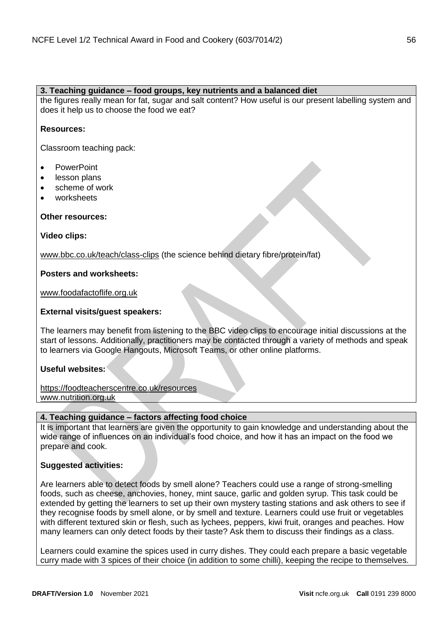## **3. Teaching guidance – food groups, key nutrients and a balanced diet**

the figures really mean for fat, sugar and salt content? How useful is our present labelling system and does it help us to choose the food we eat?

## **Resources:**

Classroom teaching pack:

- PowerPoint
- lesson plans
- scheme of work
- worksheets

## **Other resources:**

**Video clips:**

[www.bbc.co.uk/teach/class-clips](https://www.bbc.co.uk/teach/class-clips) (the science behind dietary fibre/protein/fat)

## **Posters and worksheets:**

[www.foodafactoflife.org.uk](https://www.foodafactoflife.org.uk/)

## **External visits/guest speakers:**

The learners may benefit from listening to the BBC video clips to encourage initial discussions at the start of lessons. Additionally, practitioners may be contacted through a variety of methods and speak to learners via Google Hangouts, Microsoft Teams, or other online platforms.

## **Useful websites:**

[https://foodteacherscentre.co.uk/resources](https://foodteacherscentre.co.uk/resources/) [www.nutrition.org.uk](https://www.nutrition.org.uk/)

## **4. Teaching guidance – factors affecting food choice**

It is important that learners are given the opportunity to gain knowledge and understanding about the wide range of influences on an individual's food choice, and how it has an impact on the food we prepare and cook.

## **Suggested activities:**

Are learners able to detect foods by smell alone? Teachers could use a range of strong-smelling foods, such as cheese, anchovies, honey, mint sauce, garlic and golden syrup. This task could be extended by getting the learners to set up their own mystery tasting stations and ask others to see if they recognise foods by smell alone, or by smell and texture. Learners could use fruit or vegetables with different textured skin or flesh, such as lychees, peppers, kiwi fruit, oranges and peaches. How many learners can only detect foods by their taste? Ask them to discuss their findings as a class.

Learners could examine the spices used in curry dishes. They could each prepare a basic vegetable curry made with 3 spices of their choice (in addition to some chilli), keeping the recipe to themselves.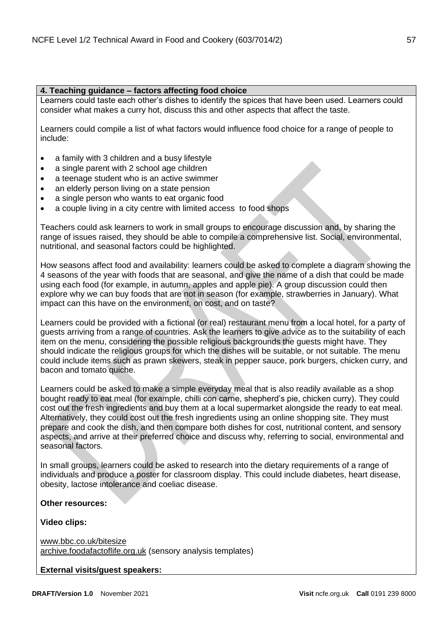## **4. Teaching guidance – factors affecting food choice**

Learners could taste each other's dishes to identify the spices that have been used. Learners could consider what makes a curry hot, discuss this and other aspects that affect the taste.

Learners could compile a list of what factors would influence food choice for a range of people to include:

- a family with 3 children and a busy lifestyle
- a single parent with 2 school age children
- a teenage student who is an active swimmer
- an elderly person living on a state pension
- a single person who wants to eat organic food
- a couple living in a city centre with limited access to food shops

Teachers could ask learners to work in small groups to encourage discussion and, by sharing the range of issues raised, they should be able to compile a comprehensive list. Social, environmental, nutritional, and seasonal factors could be highlighted.

How seasons affect food and availability: learners could be asked to complete a diagram showing the 4 seasons of the year with foods that are seasonal, and give the name of a dish that could be made using each food (for example, in autumn, apples and apple pie). A group discussion could then explore why we can buy foods that are not in season (for example, strawberries in January). What impact can this have on the environment, on cost, and on taste?

Learners could be provided with a fictional (or real) restaurant menu from a local hotel, for a party of guests arriving from a range of countries. Ask the learners to give advice as to the suitability of each item on the menu, considering the possible religious backgrounds the guests might have. They should indicate the religious groups for which the dishes will be suitable, or not suitable. The menu could include items such as prawn skewers, steak in pepper sauce, pork burgers, chicken curry, and bacon and tomato quiche.

Learners could be asked to make a simple everyday meal that is also readily available as a shop bought ready to eat meal (for example, chilli con carne, shepherd's pie, chicken curry). They could cost out the fresh ingredients and buy them at a local supermarket alongside the ready to eat meal. Alternatively, they could cost out the fresh ingredients using an online shopping site. They must prepare and cook the dish, and then compare both dishes for cost, nutritional content, and sensory aspects, and arrive at their preferred choice and discuss why, referring to social, environmental and seasonal factors.

In small groups, learners could be asked to research into the dietary requirements of a range of individuals and produce a poster for classroom display. This could include diabetes, heart disease, obesity, lactose intolerance and coeliac disease.

## **Other resources:**

**Video clips:**

[www.bbc.co.uk/bitesize](https://www.bbc.co.uk/bitesize) [archive.foodafactoflife.org.uk](http://archive.foodafactoflife.org.uk/) (sensory analysis templates)

**External visits/guest speakers:**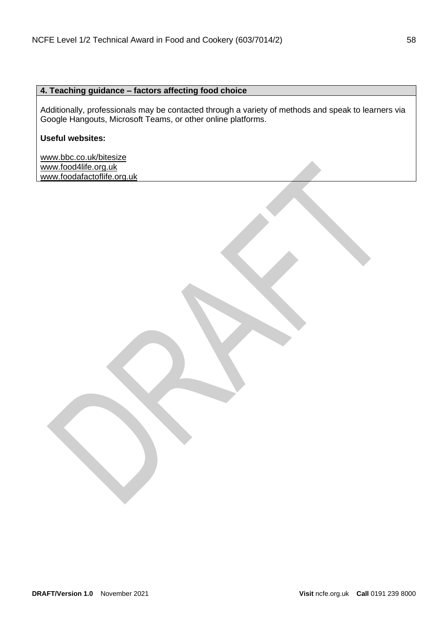## **4. Teaching guidance – factors affecting food choice**

Additionally, professionals may be contacted through a variety of methods and speak to learners via Google Hangouts, Microsoft Teams, or other online platforms.

## **Useful websites:**

[www.bbc.co.uk/bitesize](https://www.bbc.co.uk/bitesize) [www.food4life.org.uk](https://www.food4life.org.uk/) [www.foodafactoflife.org.uk](https://www.foodafactoflife.org.uk/)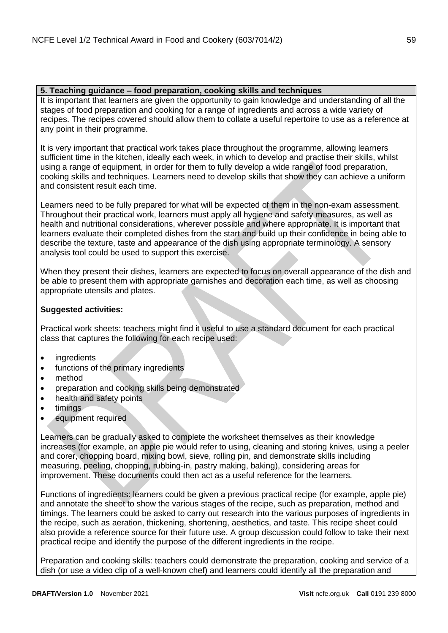## **5. Teaching guidance – food preparation, cooking skills and techniques**

It is important that learners are given the opportunity to gain knowledge and understanding of all the stages of food preparation and cooking for a range of ingredients and across a wide variety of recipes. The recipes covered should allow them to collate a useful repertoire to use as a reference at any point in their programme.

It is very important that practical work takes place throughout the programme, allowing learners sufficient time in the kitchen, ideally each week, in which to develop and practise their skills, whilst using a range of equipment, in order for them to fully develop a wide range of food preparation, cooking skills and techniques. Learners need to develop skills that show they can achieve a uniform and consistent result each time.

Learners need to be fully prepared for what will be expected of them in the non-exam assessment. Throughout their practical work, learners must apply all hygiene and safety measures, as well as health and nutritional considerations, wherever possible and where appropriate. It is important that learners evaluate their completed dishes from the start and build up their confidence in being able to describe the texture, taste and appearance of the dish using appropriate terminology. A sensory analysis tool could be used to support this exercise.

When they present their dishes, learners are expected to focus on overall appearance of the dish and be able to present them with appropriate garnishes and decoration each time, as well as choosing appropriate utensils and plates.

## **Suggested activities:**

Practical work sheets: teachers might find it useful to use a standard document for each practical class that captures the following for each recipe used:

- ingredients
- functions of the primary ingredients
- method
- preparation and cooking skills being demonstrated
- health and safety points
- timings
- equipment required

Learners can be gradually asked to complete the worksheet themselves as their knowledge increases (for example, an apple pie would refer to using, cleaning and storing knives, using a peeler and corer, chopping board, mixing bowl, sieve, rolling pin, and demonstrate skills including measuring, peeling, chopping, rubbing-in, pastry making, baking), considering areas for improvement. These documents could then act as a useful reference for the learners.

Functions of ingredients: learners could be given a previous practical recipe (for example, apple pie) and annotate the sheet to show the various stages of the recipe, such as preparation, method and timings. The learners could be asked to carry out research into the various purposes of ingredients in the recipe, such as aeration, thickening, shortening, aesthetics, and taste. This recipe sheet could also provide a reference source for their future use. A group discussion could follow to take their next practical recipe and identify the purpose of the different ingredients in the recipe.

Preparation and cooking skills: teachers could demonstrate the preparation, cooking and service of a dish (or use a video clip of a well-known chef) and learners could identify all the preparation and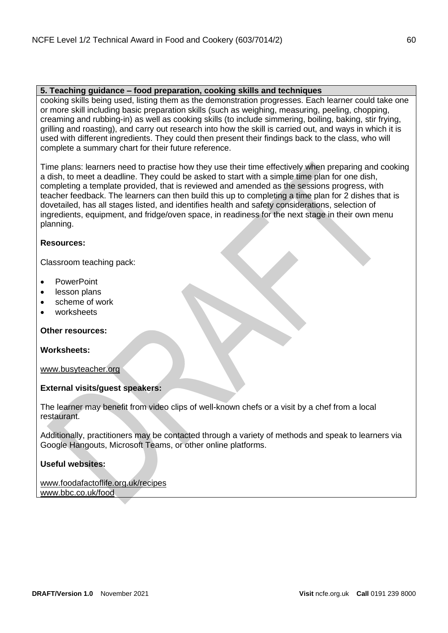## **5. Teaching guidance – food preparation, cooking skills and techniques**

cooking skills being used, listing them as the demonstration progresses. Each learner could take one or more skill including basic preparation skills (such as weighing, measuring, peeling, chopping, creaming and rubbing-in) as well as cooking skills (to include simmering, boiling, baking, stir frying, grilling and roasting), and carry out research into how the skill is carried out, and ways in which it is used with different ingredients. They could then present their findings back to the class, who will complete a summary chart for their future reference.

Time plans: learners need to practise how they use their time effectively when preparing and cooking a dish, to meet a deadline. They could be asked to start with a simple time plan for one dish, completing a template provided, that is reviewed and amended as the sessions progress, with teacher feedback. The learners can then build this up to completing a time plan for 2 dishes that is dovetailed, has all stages listed, and identifies health and safety considerations, selection of ingredients, equipment, and fridge/oven space, in readiness for the next stage in their own menu planning.

## **Resources:**

Classroom teaching pack:

- PowerPoint
- lesson plans
- scheme of work
- worksheets

**Other resources:**

## **Worksheets:**

[www.busyteacher.org](http://www.busyteacher.org/)

## **External visits/guest speakers:**

The learner may benefit from video clips of well-known chefs or a visit by a chef from a local restaurant.

Additionally, practitioners may be contacted through a variety of methods and speak to learners via Google Hangouts, Microsoft Teams, or other online platforms.

## **Useful websites:**

### [www.foodafactoflife.org.uk/recipes](https://www.foodafactoflife.org.uk/recipes) [www.bbc.co.uk/food](https://www.bbc.co.uk/food)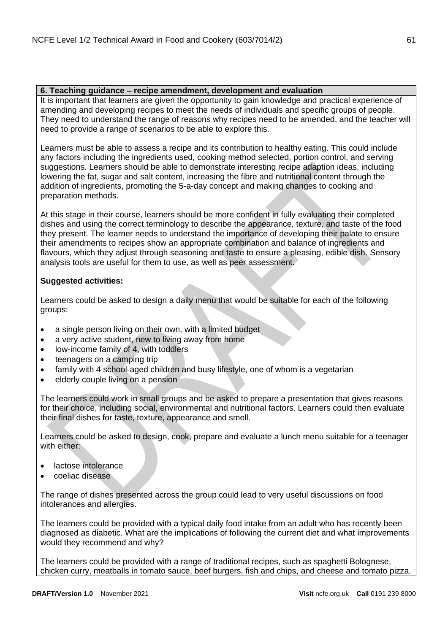## **6. Teaching guidance – recipe amendment, development and evaluation**

It is important that learners are given the opportunity to gain knowledge and practical experience of amending and developing recipes to meet the needs of individuals and specific groups of people. They need to understand the range of reasons why recipes need to be amended, and the teacher will need to provide a range of scenarios to be able to explore this.

Learners must be able to assess a recipe and its contribution to healthy eating. This could include any factors including the ingredients used, cooking method selected, portion control, and serving suggestions. Learners should be able to demonstrate interesting recipe adaption ideas, including lowering the fat, sugar and salt content, increasing the fibre and nutritional content through the addition of ingredients, promoting the 5-a-day concept and making changes to cooking and preparation methods.

At this stage in their course, learners should be more confident in fully evaluating their completed dishes and using the correct terminology to describe the appearance, texture, and taste of the food they present. The learner needs to understand the importance of developing their palate to ensure their amendments to recipes show an appropriate combination and balance of ingredients and flavours, which they adjust through seasoning and taste to ensure a pleasing, edible dish. Sensory analysis tools are useful for them to use, as well as peer assessment.

## **Suggested activities:**

Learners could be asked to design a daily menu that would be suitable for each of the following groups:

- a single person living on their own, with a limited budget
- a very active student, new to living away from home
- low-income family of 4, with toddlers
- teenagers on a camping trip
- family with 4 school-aged children and busy lifestyle, one of whom is a vegetarian
- elderly couple living on a pension

The learners could work in small groups and be asked to prepare a presentation that gives reasons for their choice, including social, environmental and nutritional factors. Learners could then evaluate their final dishes for taste, texture, appearance and smell.

Learners could be asked to design, cook, prepare and evaluate a lunch menu suitable for a teenager with either:

- lactose intolerance
- coeliac disease

The range of dishes presented across the group could lead to very useful discussions on food intolerances and allergies.

The learners could be provided with a typical daily food intake from an adult who has recently been diagnosed as diabetic. What are the implications of following the current diet and what improvements would they recommend and why?

The learners could be provided with a range of traditional recipes, such as spaghetti Bolognese, chicken curry, meatballs in tomato sauce, beef burgers, fish and chips, and cheese and tomato pizza.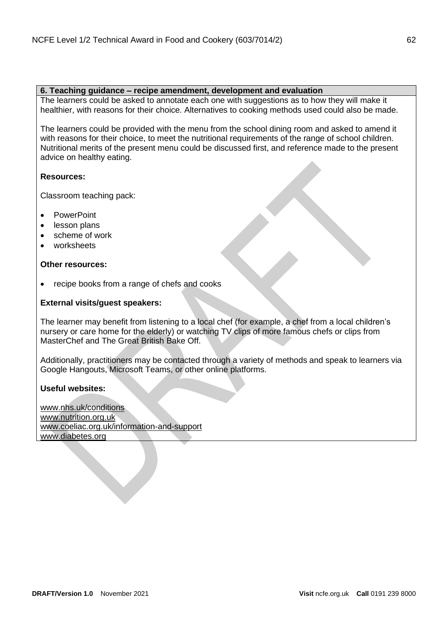#### **6. Teaching guidance – recipe amendment, development and evaluation**

The learners could be asked to annotate each one with suggestions as to how they will make it healthier, with reasons for their choice. Alternatives to cooking methods used could also be made.

The learners could be provided with the menu from the school dining room and asked to amend it with reasons for their choice, to meet the nutritional requirements of the range of school children. Nutritional merits of the present menu could be discussed first, and reference made to the present advice on healthy eating.

## **Resources:**

Classroom teaching pack:

- PowerPoint
- lesson plans
- scheme of work
- worksheets

## **Other resources:**

• recipe books from a range of chefs and cooks

## **External visits/guest speakers:**

The learner may benefit from listening to a local chef (for example, a chef from a local children's nursery or care home for the elderly) or watching TV clips of more famous chefs or clips from MasterChef and The Great British Bake Off.

Additionally, practitioners may be contacted through a variety of methods and speak to learners via Google Hangouts, Microsoft Teams, or other online platforms.

## **Useful websites:**

[www.nhs.uk/conditions](https://www.nhs.uk/conditions) [www.nutrition.org.uk](https://www.nutrition.org.uk/) [www.coeliac.org.uk/information-and-support](http://www.coeliac.org.uk/information-and-support) [www.diabetes.org](https://www.diabetes.org/)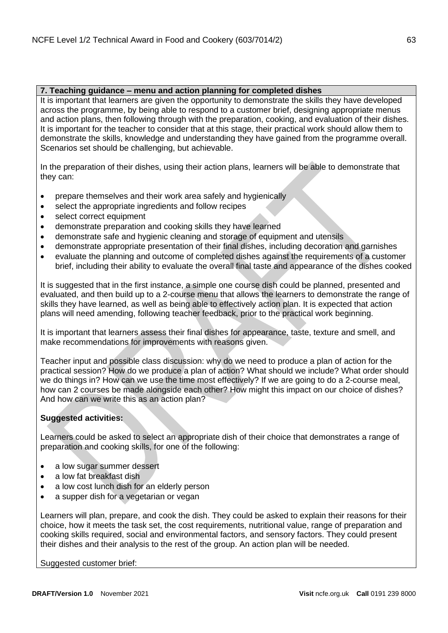## **7. Teaching guidance – menu and action planning for completed dishes**

It is important that learners are given the opportunity to demonstrate the skills they have developed across the programme, by being able to respond to a customer brief, designing appropriate menus and action plans, then following through with the preparation, cooking, and evaluation of their dishes. It is important for the teacher to consider that at this stage, their practical work should allow them to demonstrate the skills, knowledge and understanding they have gained from the programme overall. Scenarios set should be challenging, but achievable.

In the preparation of their dishes, using their action plans, learners will be able to demonstrate that they can:

- prepare themselves and their work area safely and hygienically
- select the appropriate ingredients and follow recipes
- select correct equipment
- demonstrate preparation and cooking skills they have learned
- demonstrate safe and hygienic cleaning and storage of equipment and utensils
- demonstrate appropriate presentation of their final dishes, including decoration and garnishes
- evaluate the planning and outcome of completed dishes against the requirements of a customer brief, including their ability to evaluate the overall final taste and appearance of the dishes cooked

It is suggested that in the first instance, a simple one course dish could be planned, presented and evaluated, and then build up to a 2-course menu that allows the learners to demonstrate the range of skills they have learned, as well as being able to effectively action plan. It is expected that action plans will need amending, following teacher feedback, prior to the practical work beginning.

It is important that learners assess their final dishes for appearance, taste, texture and smell, and make recommendations for improvements with reasons given.

Teacher input and possible class discussion: why do we need to produce a plan of action for the practical session? How do we produce a plan of action? What should we include? What order should we do things in? How can we use the time most effectively? If we are going to do a 2-course meal, how can 2 courses be made alongside each other? How might this impact on our choice of dishes? And how can we write this as an action plan?

## **Suggested activities:**

Learners could be asked to select an appropriate dish of their choice that demonstrates a range of preparation and cooking skills, for one of the following:

- a low sugar summer dessert
- a low fat breakfast dish
- a low cost lunch dish for an elderly person
- a supper dish for a vegetarian or vegan

Learners will plan, prepare, and cook the dish. They could be asked to explain their reasons for their choice, how it meets the task set, the cost requirements, nutritional value, range of preparation and cooking skills required, social and environmental factors, and sensory factors. They could present their dishes and their analysis to the rest of the group. An action plan will be needed.

Suggested customer brief: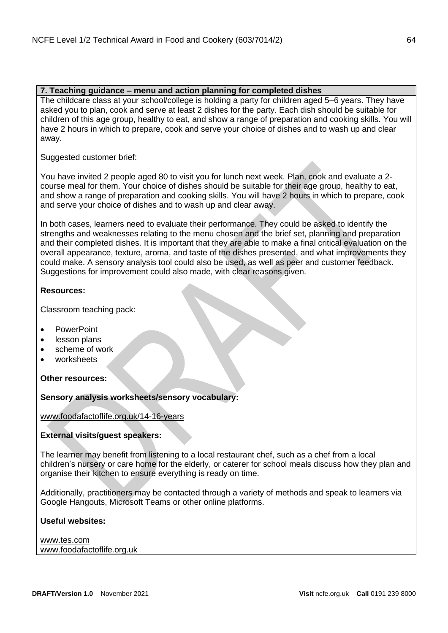## **7. Teaching guidance – menu and action planning for completed dishes**

The childcare class at your school/college is holding a party for children aged 5–6 years. They have asked you to plan, cook and serve at least 2 dishes for the party. Each dish should be suitable for children of this age group, healthy to eat, and show a range of preparation and cooking skills. You will have 2 hours in which to prepare, cook and serve your choice of dishes and to wash up and clear away.

Suggested customer brief:

You have invited 2 people aged 80 to visit you for lunch next week. Plan, cook and evaluate a 2 course meal for them. Your choice of dishes should be suitable for their age group, healthy to eat, and show a range of preparation and cooking skills. You will have 2 hours in which to prepare, cook and serve your choice of dishes and to wash up and clear away.

In both cases, learners need to evaluate their performance. They could be asked to identify the strengths and weaknesses relating to the menu chosen and the brief set, planning and preparation and their completed dishes. It is important that they are able to make a final critical evaluation on the overall appearance, texture, aroma, and taste of the dishes presented, and what improvements they could make. A sensory analysis tool could also be used, as well as peer and customer feedback. Suggestions for improvement could also made, with clear reasons given.

## **Resources:**

Classroom teaching pack:

- PowerPoint
- lesson plans
- scheme of work
- worksheets

**Other resources:**

**Sensory analysis worksheets/sensory vocabulary:**

[www.foodafactoflife.org.uk/14-16-years](https://www.foodafactoflife.org.uk/14-16-years)

## **External visits/guest speakers:**

The learner may benefit from listening to a local restaurant chef, such as a chef from a local children's nursery or care home for the elderly, or caterer for school meals discuss how they plan and organise their kitchen to ensure everything is ready on time.

Additionally, practitioners may be contacted through a variety of methods and speak to learners via Google Hangouts, Microsoft Teams or other online platforms.

## **Useful websites:**

[www.tes.com](https://www.tes.com/) [www.foodafactoflife.org.uk](http://www.foodafactoflife.org.uk/)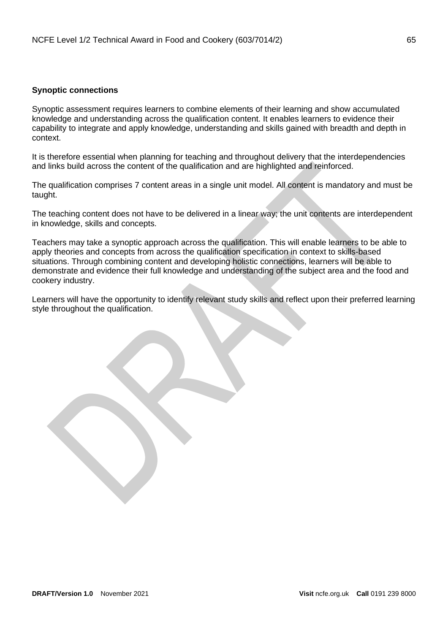## <span id="page-64-0"></span>**Synoptic connections**

Synoptic assessment requires learners to combine elements of their learning and show accumulated knowledge and understanding across the qualification content. It enables learners to evidence their capability to integrate and apply knowledge, understanding and skills gained with breadth and depth in context.

It is therefore essential when planning for teaching and throughout delivery that the interdependencies and links build across the content of the qualification and are highlighted and reinforced.

The qualification comprises 7 content areas in a single unit model. All content is mandatory and must be taught.

The teaching content does not have to be delivered in a linear way; the unit contents are interdependent in knowledge, skills and concepts.

Teachers may take a synoptic approach across the qualification. This will enable learners to be able to apply theories and concepts from across the qualification specification in context to skills-based situations. Through combining content and developing holistic connections, learners will be able to demonstrate and evidence their full knowledge and understanding of the subject area and the food and cookery industry.

Learners will have the opportunity to identify relevant study skills and reflect upon their preferred learning style throughout the qualification.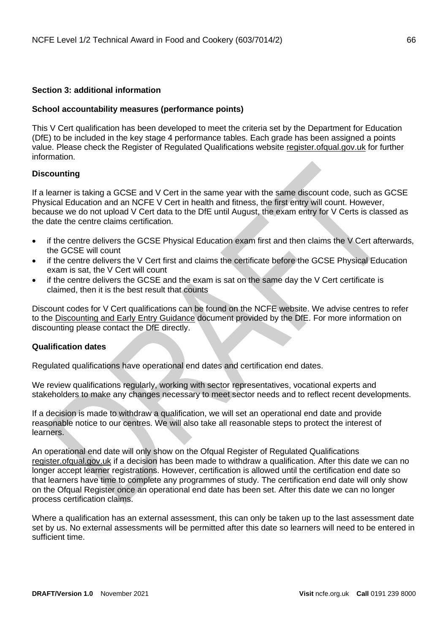## <span id="page-65-0"></span>**Section 3: additional information**

## <span id="page-65-1"></span>**School accountability measures (performance points)**

This V Cert qualification has been developed to meet the criteria set by the Department for Education (DfE) to be included in the key stage 4 performance tables. Each grade has been assigned a points value. Please check the Register of Regulated Qualifications website [register.ofqual.gov.uk](http://register.ofqual.gov.uk/) for further information.

## <span id="page-65-2"></span>**Discounting**

If a learner is taking a GCSE and V Cert in the same year with the same discount code, such as GCSE Physical Education and an NCFE V Cert in health and fitness, the first entry will count. However, because we do not upload V Cert data to the DfE until August, the exam entry for V Certs is classed as the date the centre claims certification.

- if the centre delivers the GCSE Physical Education exam first and then claims the V Cert afterwards, the GCSE will count
- if the centre delivers the V Cert first and claims the certificate before the GCSE Physical Education exam is sat, the V Cert will count
- if the centre delivers the GCSE and the exam is sat on the same day the V Cert certificate is claimed, then it is the best result that counts

Discount codes for V Cert qualifications can be found on the NCFE website. We advise centres to refer to the [Discounting and Early Entry Guidance](https://www.gov.uk/government/uploads/system/uploads/attachment_data/file/651207/Key_stage_4_discounting_and_early_entry_guidance_2017.pdf) document provided by the DfE. For more information on discounting please contact the DfE directly.

#### <span id="page-65-3"></span>**Qualification dates**

Regulated qualifications have operational end dates and certification end dates.

We review qualifications regularly, working with sector representatives, vocational experts and stakeholders to make any changes necessary to meet sector needs and to reflect recent developments.

If a decision is made to withdraw a qualification, we will set an operational end date and provide reasonable notice to our centres. We will also take all reasonable steps to protect the interest of learners.

An operational end date will only show on the Ofqual Register of Regulated Qualifications [register.ofqual.gov.uk](https://register.ofqual.gov.uk/) if a decision has been made to withdraw a qualification. After this date we can no longer accept learner registrations. However, certification is allowed until the certification end date so that learners have time to complete any programmes of study. The certification end date will only show on the Ofqual Register once an operational end date has been set. After this date we can no longer process certification claims.

Where a qualification has an external assessment, this can only be taken up to the last assessment date set by us. No external assessments will be permitted after this date so learners will need to be entered in sufficient time.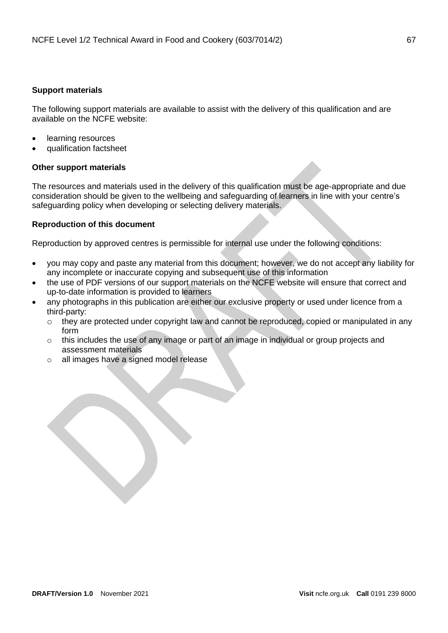## <span id="page-66-0"></span>**Support materials**

The following support materials are available to assist with the delivery of this qualification and are available on the NCFE website:

- learning resources
- qualification factsheet

## **Other support materials**

The resources and materials used in the delivery of this qualification must be age-appropriate and due consideration should be given to the wellbeing and safeguarding of learners in line with your centre's safeguarding policy when developing or selecting delivery materials.

## <span id="page-66-1"></span>**Reproduction of this document**

Reproduction by approved centres is permissible for internal use under the following conditions:

- you may copy and paste any material from this document; however, we do not accept any liability for any incomplete or inaccurate copying and subsequent use of this information
- the use of PDF versions of our support materials on the NCFE website will ensure that correct and up-to-date information is provided to learners
- any photographs in this publication are either our exclusive property or used under licence from a third-party:
	- o they are protected under copyright law and cannot be reproduced, copied or manipulated in any form
	- o this includes the use of any image or part of an image in individual or group projects and assessment materials
	- o all images have a signed model release